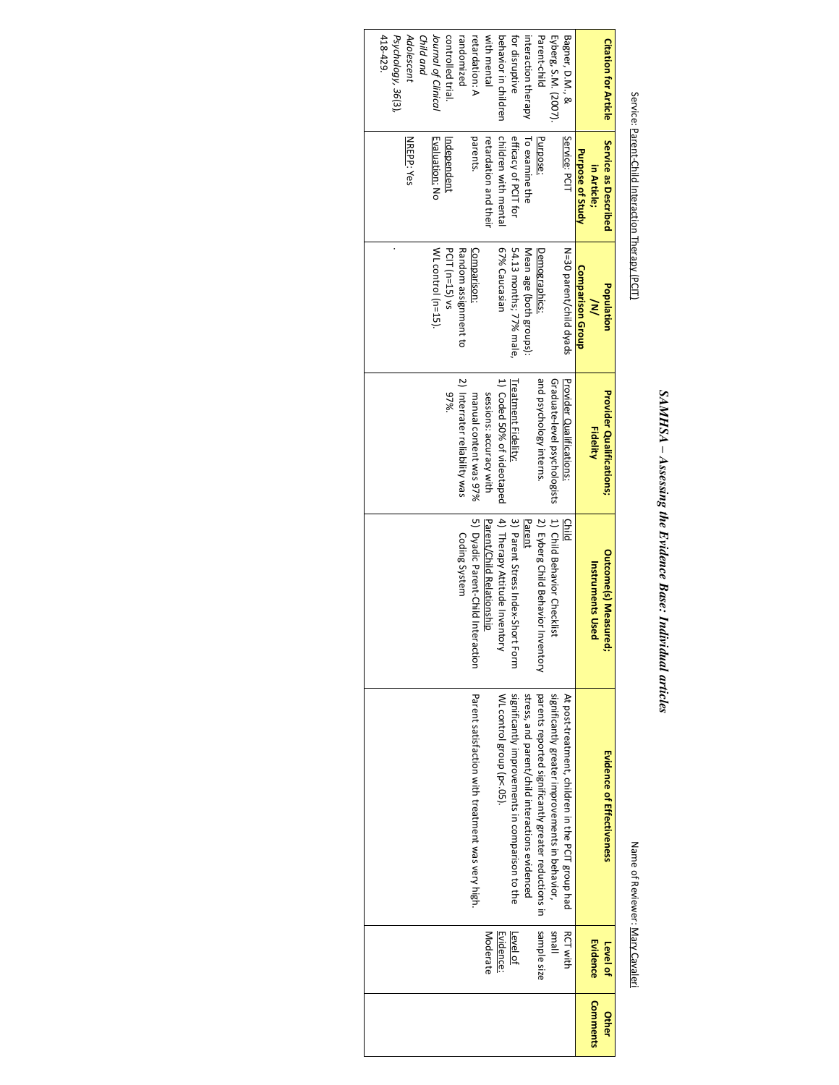## SAMHSA - Assessing the Evidence Base: Individual articles *SAMHSA – Assessing the Evidence Base: Individual articles*

### Service: Parent-Child Interaction Therapy (PCIT) Service: Parent-Child Interaction Therapy (PCIT)

#### Name of Reviewer: Mary Cavaleri Name of Reviewer: Mary Cavaleri

| <b>Citation for Article</b> | Service as Described  | Population              | <b>Provider Qualifications;</b> | <b>Outcome(s) Measured;</b>            | <b>Evidence of Effectiveness</b>                     | Level of        | <b>Other</b>    |
|-----------------------------|-----------------------|-------------------------|---------------------------------|----------------------------------------|------------------------------------------------------|-----------------|-----------------|
|                             | in Article;           | ≷                       | <b>Fidelity</b>                 | <b>Instruments Use</b>                 |                                                      | <b>Evidence</b> | <b>Comments</b> |
|                             | Purpose of Study      | <b>Comparison Group</b> |                                 |                                        |                                                      |                 |                 |
| Bagner, D.M., &             | Service: PCI          | N=30 parent/child dyads | Provider Oralitications:        | Child                                  | At post-treatment, children in the PCIT group had    | <b>RCT with</b> |                 |
| Eyberg, S.M. (2007).        |                       |                         | Graduate-level psychologists    | 1) Child Behavior Checkiis             | significantly greater improvements in behavior,      | lleus           |                 |
| Parent-child                | Purpose:              | Demographics:           | and psychology interns.         | 2) Eyberg Child Behavior<br>Inventory  | parents reported significantly greater reductions in | sample size     |                 |
| interaction therapy         | To examine the        | Mean age (both groups): |                                 | Parent                                 | stress, and parent/child interactions evidenced      |                 |                 |
| for disruptive              | efficacy of PCIT for  | 54.13 months; 77% male, | Trea <u>tment Fidelity</u> :    | 3) Parent Stress Index-Short Form      | significantly improvements in comparison to the      | <u>Level of</u> |                 |
| behavior in children        | children with mental  | 67% Caucasian           | 1) Coded 50% of videotaped      | 4) Therapy Attitude Inventory          | WL control group (p<.05).                            | Evidence:       |                 |
| with mental                 | retardation and their |                         | sessions: accuracy with         | Parent/Child Relationship              |                                                      | Moderate        |                 |
| retardation: A              | parents.              | Comparison:             | manual content was 97%          | <b>Dyadic Parent-Child Interaction</b> | Parent satisfaction with treatment was very high.    |                 |                 |
| randomized                  |                       | Random assignment to    | 2) Interrater reliability was   | Coding System                          |                                                      |                 |                 |
| controlled trial.           | ndependent            | PCIT (n=15) vs          | $97\%$ .                        |                                        |                                                      |                 |                 |
| Journal of Clinical         | <u>Evaluation:</u> No | WL control (n=15).      |                                 |                                        |                                                      |                 |                 |
| Child and                   |                       |                         |                                 |                                        |                                                      |                 |                 |
| Adolescent                  | NREPP: Yes            |                         |                                 |                                        |                                                      |                 |                 |
| Psychology, 36(3),          |                       |                         |                                 |                                        |                                                      |                 |                 |
| 418-429.                    |                       |                         |                                 |                                        |                                                      |                 |                 |
|                             |                       |                         |                                 |                                        |                                                      |                 |                 |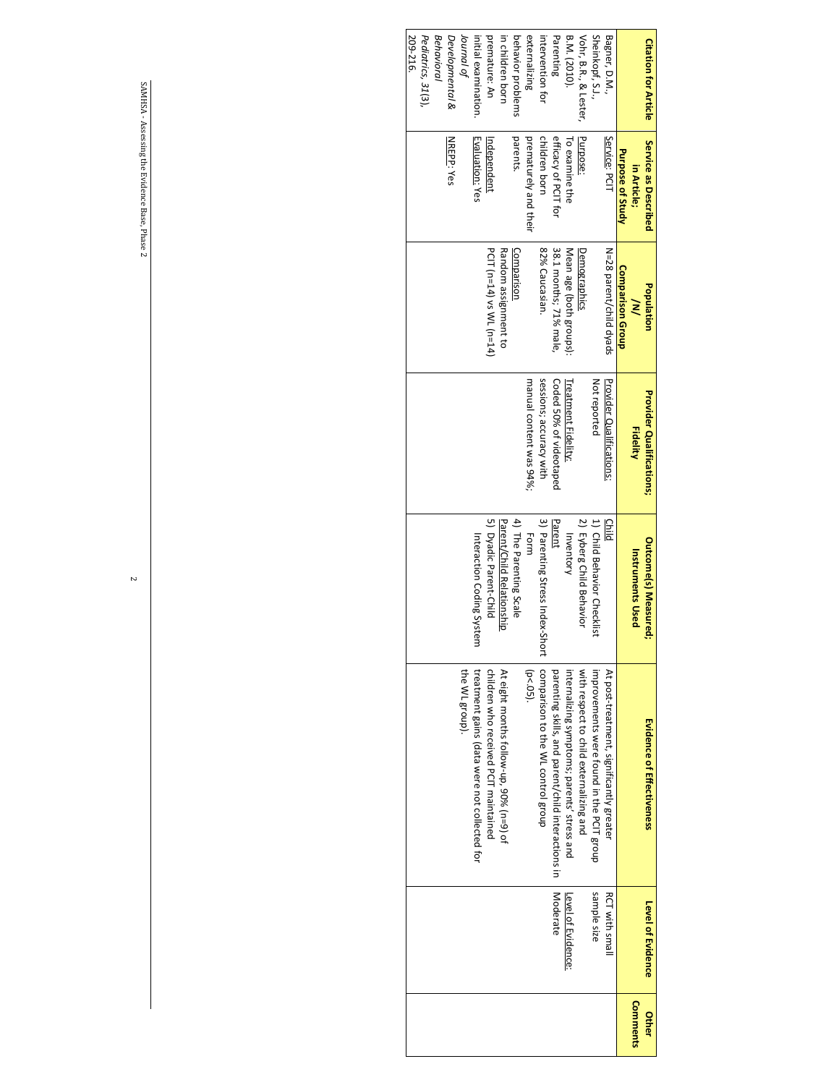| <b>Citation for Article</b> | Service as Described<br>in Article; | Population<br>≷          | <b>Provider Qualifications;</b><br><b>Fidelity</b> | <b>Outcome(s) Measured</b><br><b>Instruments Used</b> | Evidence of Effectiveness                          | <b>Level of Evidence</b> | <b>Comments</b><br>Other |
|-----------------------------|-------------------------------------|--------------------------|----------------------------------------------------|-------------------------------------------------------|----------------------------------------------------|--------------------------|--------------------------|
|                             | <b>Purpose of Study</b>             | <b>Comparison Group</b>  |                                                    |                                                       |                                                    |                          |                          |
| Bagner, D.M.,               | Service: PCIT                       | N=28 parent/child dyads  | Provider Qualitications:                           | Child                                                 | At post-treatment, significantly greater           | <b>RCT with small</b>    |                          |
| Sheinkopf, S.J.,            |                                     |                          | Not reported                                       | 1) Child Behavior Checklist                           | improvements were found in the PCIT group          | sample size              |                          |
| Vohr, B.R., & Lester        | Purpose:                            | Demographics             |                                                    | 2) Eyberg Child Behavior                              | with respect to child externalizing and            |                          |                          |
| B.M. (2010).                | To examine the                      | Mean age (both groups):  | <b>Treatment Fidelity:</b>                         | Inventory                                             | internalizing symptoms; parents' stress and        | Level of Evidence:       |                          |
| Parenting                   | efficacy of PCIT for                | 38.1 months; 71% male,   | Coded 50% of videotaped                            | Parent                                                | parenting skills, and parent/child interactions in | <b>Moderate</b>          |                          |
| intervention for            | children born                       | 82% Caucasian.           | sessions; accuracy with                            | 3) Parenting Stress Index-Short                       | comparison to the WL control group                 |                          |                          |
| externalizing               | prematurely and their               |                          | manual content was 94%;                            | Form                                                  | $(p < .05)$ .                                      |                          |                          |
| behavior problems           | parents.                            | Comparison               |                                                    | 4) The Parenting Scale                                |                                                    |                          |                          |
| in children born            |                                     | Random assignment to     |                                                    | Parent/Child Relationship                             | At eight months follow-up, 90% (n=9) of            |                          |                          |
| premature: An               | Independent                         | PCIT (n=14) vs WL (n=14) |                                                    | 5) Dyadic Parent-Child                                | children who received PCLI maintained              |                          |                          |
| inital examination          | Evaluation: Yes                     |                          |                                                    | Interaction Coding System                             | treatment gains (data were not collected for       |                          |                          |
| Journal<br>Jeurnal          |                                     |                          |                                                    |                                                       | the WL group).                                     |                          |                          |
| Developmental &             | <b>NREPP: Yes</b>                   |                          |                                                    |                                                       |                                                    |                          |                          |
| Behavioral                  |                                     |                          |                                                    |                                                       |                                                    |                          |                          |
| Pediatrics, 31(3),          |                                     |                          |                                                    |                                                       |                                                    |                          |                          |
| 209-216                     |                                     |                          |                                                    |                                                       |                                                    |                          |                          |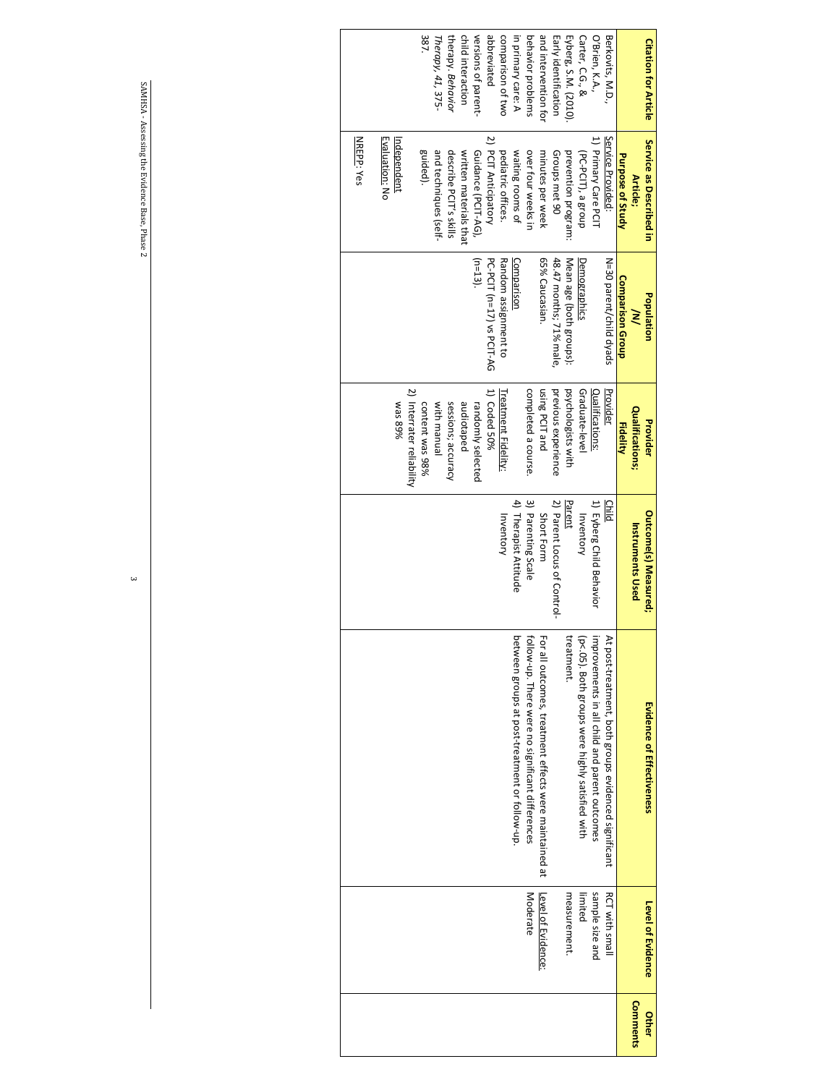| <b>Citation for Article</b> | Service as Described in<br>Article; | Population<br>≷           | Qualitications;<br>Provider | <b>Outcome(s) Measured;</b><br><b>Instruments Used</b> | Evidence of Effectiveness                                    | Level of Evidence     | Comments<br>Other |
|-----------------------------|-------------------------------------|---------------------------|-----------------------------|--------------------------------------------------------|--------------------------------------------------------------|-----------------------|-------------------|
|                             | Purpose of Study                    | <b>Comparison Group</b>   | <b>Fidelity</b>             |                                                        |                                                              |                       |                   |
| Berkovits, M.D.,            | Service Provided                    | N=30 parent/child dyads   | Provider                    | Child                                                  | At post-treatment, both groups evidenced significant         | <b>RCT with small</b> |                   |
| O'Brien, K.A.,              | 1) Primary Care PCIT                |                           | Qualifications:             | 1) Eyberg Child Behavior                               | mprovements in all child and parent outcomes                 | sample size and       |                   |
| Carter, C.G., &             | (PC-PCIT), a group                  | Demographics              | Graduate-level              | Inventory                                              | p<.05). Both groups were highly satisfied with               | limited               |                   |
| Eyberg, S.M. (2010)         | prevention program:                 | Mean age (both groups):   | psychologists with          | Parent                                                 | reatment.                                                    | measurement.          |                   |
| Early identification        | Groups met 90                       | 48.47 months; 71% male    | previous experience         | 2) Parent Locus of Control-                            |                                                              |                       |                   |
| and intervention for        | minutes per week                    | 65% Caucasian.            | using PCIT and              | Short Form                                             | For all outcomes, treatment effects were maintained at       | Level of Evidence:    |                   |
| behavior problems           | over four weeks in                  |                           | completed a course.         | 3) Parenting Scale                                     | <sup>f</sup> ollow-up. There were no significant differences | Moderate              |                   |
| in primary care: A          | waiting rooms of                    | Comparison                |                             | 4) Therapist Attitude                                  | between groups at post-treatment or follow-up.               |                       |                   |
| comparison of two           | pediatric offices.                  | Random assignment to      | <b>Treatment Fidelity:</b>  | Inventory                                              |                                                              |                       |                   |
| abbreviated                 | 2) PCIT Anticipatory                | PC-PCIT (n=17) vs PCIT-AG | 1) Coded 50%                |                                                        |                                                              |                       |                   |
| versions of parent-         | Guidance (PCIT-AG),                 | $(n=13)$                  | randomly selected           |                                                        |                                                              |                       |                   |
| child interaction           | written materials that              |                           | audiotaped                  |                                                        |                                                              |                       |                   |
| therapy. Behavior           | describe PCIT's skills              |                           | sessions; accuracy          |                                                        |                                                              |                       |                   |
| Therapy, 41, 375-           | and techniques (self-               |                           | with manual                 |                                                        |                                                              |                       |                   |
| 387                         | guided).                            |                           | content was 98%             |                                                        |                                                              |                       |                   |
|                             |                                     |                           | 2) Interrater reliability   |                                                        |                                                              |                       |                   |
|                             | <u>Independent</u>                  |                           | %68 sew                     |                                                        |                                                              |                       |                   |
|                             | Evaluation: No                      |                           |                             |                                                        |                                                              |                       |                   |
|                             |                                     |                           |                             |                                                        |                                                              |                       |                   |
|                             | <b>NREPP: Yes</b>                   |                           |                             |                                                        |                                                              |                       |                   |
|                             |                                     |                           |                             |                                                        |                                                              |                       |                   |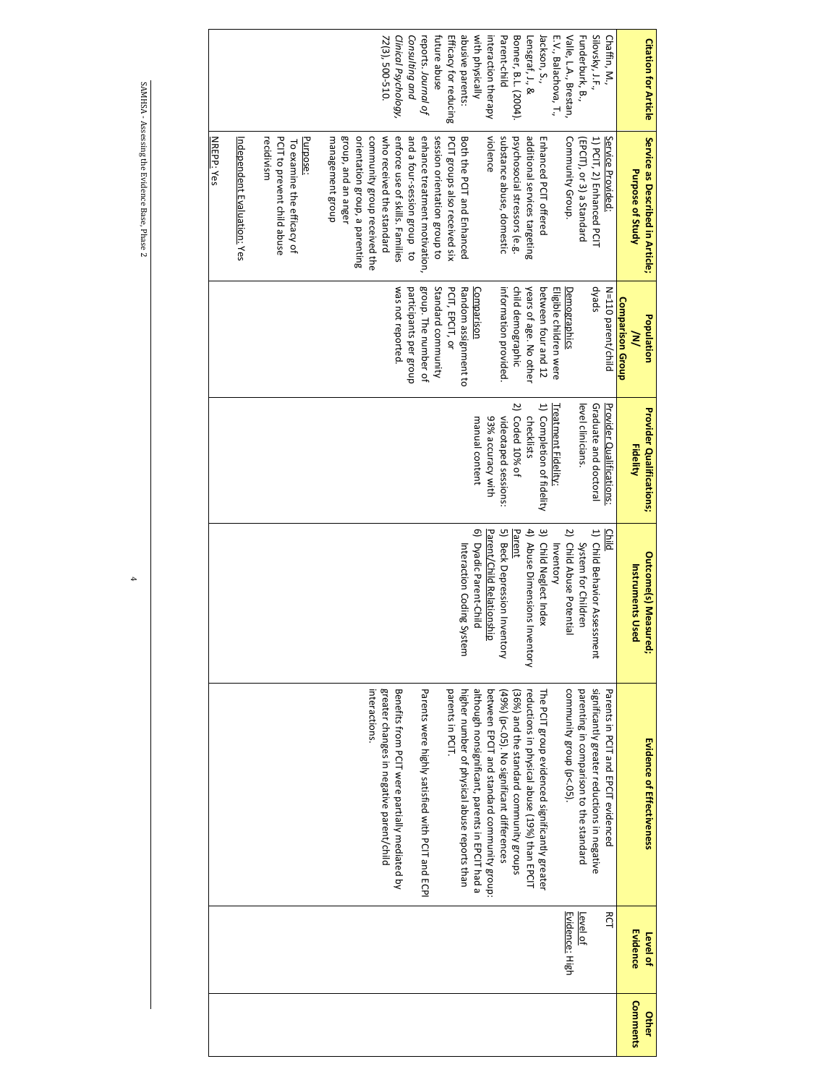| Silovsky, J.F.,<br>Bonner, B.L. (2004).<br>Lensgraf, J., &<br>Jackson, S.,<br>Valle, L.A., Brestan,<br>E.V., Balachova, T.,<br>Funderburk, B.,<br>Chaffin, M.<br><b>Citation for Article</b> | Service as Described in Article;<br>psychosocial stressors (e.g.<br>additional services targeting<br>Enhanced PCIT offered<br>1) PCIT, 2) Enhanced PCIT<br>Service Provided:<br>Community Group.<br>[EPCIT), or 3) a Standard<br>Purpose of Study | child demographic<br>spekp<br>years of age. No other<br>between four and 12<br>Eligible children were<br>N=110 parent/child<br>Demographics<br>Comparison Group<br>Population<br>≷ | $\overline{z}$<br>1) Completion of fidelity<br>level clinicians.<br>Graduate and doctoral<br>Treatment Fidelity:<br>Provider Qualifications:<br><b>Provider Qualifications;</b><br>Coded 10% of<br>checklists<br><b>Fidelity</b> | 3) Child Neglect Index<br>4) Abuse Dimensions Inventory<br>Parent<br>2) Child Abuse Potential<br>1) Child Behavior Assessment<br><b>Child</b><br>System for Children<br>Inventory<br><b>Outcome(s) Measured;</b><br><b>Instruments Used</b> | significantly greater reductions in negative<br>community group (p<.05).<br>Parents in PCIT and EPCIT evidenced<br>The PCIT group evidenced significantly greater<br>parenting in comparison to the standard<br>reductions in physical abuse (19%) than EPCIT<br>(36%) and the standard community groups<br>Evidence of Effectiveness |
|----------------------------------------------------------------------------------------------------------------------------------------------------------------------------------------------|---------------------------------------------------------------------------------------------------------------------------------------------------------------------------------------------------------------------------------------------------|------------------------------------------------------------------------------------------------------------------------------------------------------------------------------------|----------------------------------------------------------------------------------------------------------------------------------------------------------------------------------------------------------------------------------|---------------------------------------------------------------------------------------------------------------------------------------------------------------------------------------------------------------------------------------------|---------------------------------------------------------------------------------------------------------------------------------------------------------------------------------------------------------------------------------------------------------------------------------------------------------------------------------------|
|                                                                                                                                                                                              |                                                                                                                                                                                                                                                   |                                                                                                                                                                                    |                                                                                                                                                                                                                                  |                                                                                                                                                                                                                                             |                                                                                                                                                                                                                                                                                                                                       |
| Parent-child                                                                                                                                                                                 | substance abuse, domestic                                                                                                                                                                                                                         | information provided.                                                                                                                                                              | videotaped sessions:                                                                                                                                                                                                             | 5) Beck Depression Inventory                                                                                                                                                                                                                | (49%) (p<.05). No significant differences                                                                                                                                                                                                                                                                                             |
| interaction therapy                                                                                                                                                                          | violence                                                                                                                                                                                                                                          |                                                                                                                                                                                    | 93% accuracy with                                                                                                                                                                                                                | Parent/Child Relationship                                                                                                                                                                                                                   | between EPCIT and standard community group:                                                                                                                                                                                                                                                                                           |
| with physically                                                                                                                                                                              |                                                                                                                                                                                                                                                   | Comparison                                                                                                                                                                         | manual content                                                                                                                                                                                                                   | 6) Dyadic Parent-Child                                                                                                                                                                                                                      | although nonsignificant, parents in EPCIT had a                                                                                                                                                                                                                                                                                       |
| abusive parents:                                                                                                                                                                             | Both the PCIT and Enhanced                                                                                                                                                                                                                        | Random assignment to                                                                                                                                                               |                                                                                                                                                                                                                                  | Interaction Coding System                                                                                                                                                                                                                   | higher number of physical abuse reports than                                                                                                                                                                                                                                                                                          |
| Efficacy for reducing                                                                                                                                                                        | PCIT groups also received six                                                                                                                                                                                                                     | PCIT, EPCIT, or                                                                                                                                                                    |                                                                                                                                                                                                                                  |                                                                                                                                                                                                                                             | parents in PCIT.                                                                                                                                                                                                                                                                                                                      |
| future abuse                                                                                                                                                                                 | session orientation group to                                                                                                                                                                                                                      | Standard community                                                                                                                                                                 |                                                                                                                                                                                                                                  |                                                                                                                                                                                                                                             |                                                                                                                                                                                                                                                                                                                                       |
| reports. Journal of                                                                                                                                                                          | enhance treatment motivation,                                                                                                                                                                                                                     | group. The number of                                                                                                                                                               |                                                                                                                                                                                                                                  |                                                                                                                                                                                                                                             | Parents were highly satisfied with PCIT and ECPI                                                                                                                                                                                                                                                                                      |
| Consulting and                                                                                                                                                                               | and a four-session group to                                                                                                                                                                                                                       | participants per group                                                                                                                                                             |                                                                                                                                                                                                                                  |                                                                                                                                                                                                                                             |                                                                                                                                                                                                                                                                                                                                       |
| Clinical Psychology,                                                                                                                                                                         | enforce use of skills. Families                                                                                                                                                                                                                   | was not reported.                                                                                                                                                                  |                                                                                                                                                                                                                                  |                                                                                                                                                                                                                                             | Benefits from PCIT were partially mediated by                                                                                                                                                                                                                                                                                         |
| 72(3), 500-510.                                                                                                                                                                              | who received the standard                                                                                                                                                                                                                         |                                                                                                                                                                                    |                                                                                                                                                                                                                                  |                                                                                                                                                                                                                                             | greater changes in negative parent/child                                                                                                                                                                                                                                                                                              |
|                                                                                                                                                                                              | community group received the                                                                                                                                                                                                                      |                                                                                                                                                                                    |                                                                                                                                                                                                                                  |                                                                                                                                                                                                                                             | interactions                                                                                                                                                                                                                                                                                                                          |
|                                                                                                                                                                                              | orientation group, a parenting                                                                                                                                                                                                                    |                                                                                                                                                                                    |                                                                                                                                                                                                                                  |                                                                                                                                                                                                                                             |                                                                                                                                                                                                                                                                                                                                       |
|                                                                                                                                                                                              | group, and an anger                                                                                                                                                                                                                               |                                                                                                                                                                                    |                                                                                                                                                                                                                                  |                                                                                                                                                                                                                                             |                                                                                                                                                                                                                                                                                                                                       |
|                                                                                                                                                                                              | management group                                                                                                                                                                                                                                  |                                                                                                                                                                                    |                                                                                                                                                                                                                                  |                                                                                                                                                                                                                                             |                                                                                                                                                                                                                                                                                                                                       |
|                                                                                                                                                                                              | Purpose:                                                                                                                                                                                                                                          |                                                                                                                                                                                    |                                                                                                                                                                                                                                  |                                                                                                                                                                                                                                             |                                                                                                                                                                                                                                                                                                                                       |
|                                                                                                                                                                                              | To examine the efficacy of                                                                                                                                                                                                                        |                                                                                                                                                                                    |                                                                                                                                                                                                                                  |                                                                                                                                                                                                                                             |                                                                                                                                                                                                                                                                                                                                       |
|                                                                                                                                                                                              | PCIT to prevent child abuse                                                                                                                                                                                                                       |                                                                                                                                                                                    |                                                                                                                                                                                                                                  |                                                                                                                                                                                                                                             |                                                                                                                                                                                                                                                                                                                                       |
|                                                                                                                                                                                              | recidivism                                                                                                                                                                                                                                        |                                                                                                                                                                                    |                                                                                                                                                                                                                                  |                                                                                                                                                                                                                                             |                                                                                                                                                                                                                                                                                                                                       |
|                                                                                                                                                                                              | Independent Evaluation: Yes                                                                                                                                                                                                                       |                                                                                                                                                                                    |                                                                                                                                                                                                                                  |                                                                                                                                                                                                                                             |                                                                                                                                                                                                                                                                                                                                       |
|                                                                                                                                                                                              |                                                                                                                                                                                                                                                   |                                                                                                                                                                                    |                                                                                                                                                                                                                                  |                                                                                                                                                                                                                                             |                                                                                                                                                                                                                                                                                                                                       |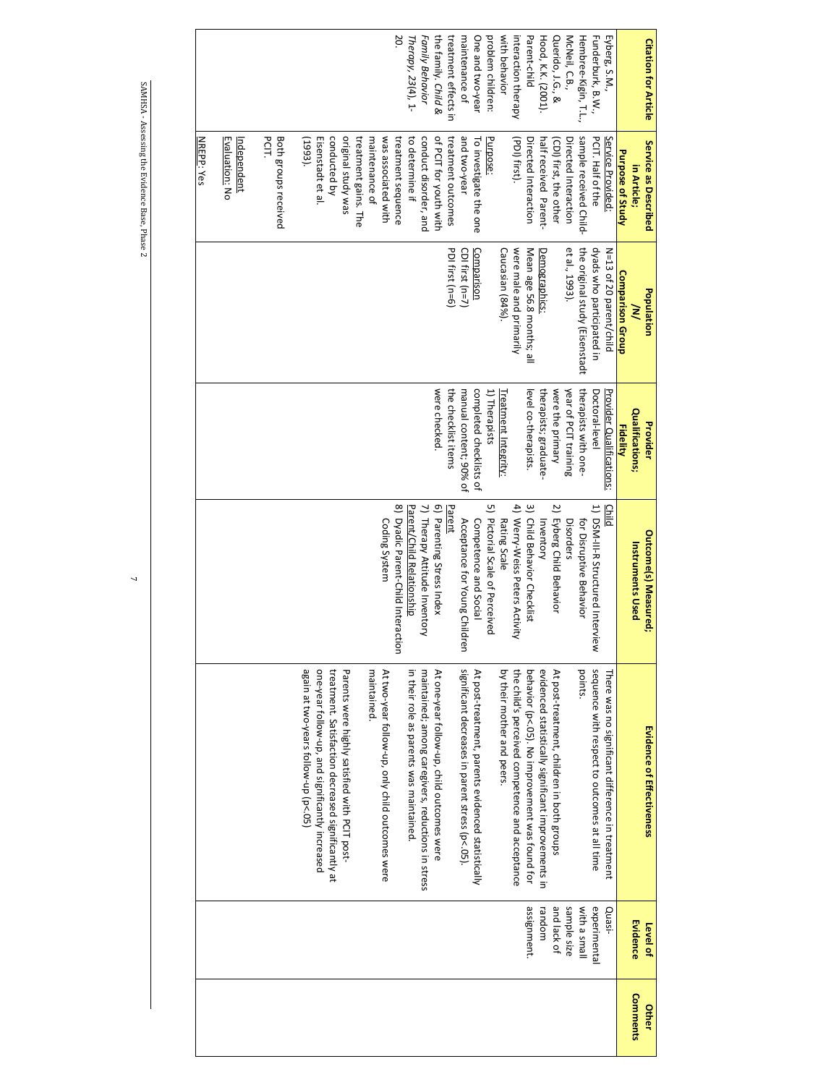|          |              |                                                     |                                    |                          |                                | NREPP: Yes                  |                             |
|----------|--------------|-----------------------------------------------------|------------------------------------|--------------------------|--------------------------------|-----------------------------|-----------------------------|
|          |              |                                                     |                                    |                          |                                |                             |                             |
|          |              |                                                     |                                    |                          |                                | Evaluation: No              |                             |
|          |              |                                                     |                                    |                          |                                | Independent                 |                             |
|          |              |                                                     |                                    |                          |                                | PCIT.                       |                             |
|          |              |                                                     |                                    |                          |                                | <b>Both groups received</b> |                             |
|          |              |                                                     |                                    |                          |                                |                             |                             |
|          |              | again at two-years follow-up (p<.05)                |                                    |                          |                                | (1993)                      |                             |
|          |              | one-year follow-up, and significantly increased     |                                    |                          |                                | Eisenstadt et al.           |                             |
|          |              | treatment. Satistaction decreased significantly at  |                                    |                          |                                | conducted by                |                             |
|          |              | Parents were highly satisfied with PCIT post-       |                                    |                          |                                | original study was          |                             |
|          |              |                                                     |                                    |                          |                                | treatment gains. The        |                             |
|          |              | maintained.                                         |                                    |                          |                                | maintenance of              |                             |
|          |              | At two-year follow-up, only child outcomes were     | Coding System                      |                          |                                | was associated with         |                             |
|          |              |                                                     | 8) Dyadic Parent-Child Interaction |                          |                                | treatment sequence          | 20.                         |
|          |              | in their role as parents was maintained             | Parent/Child Relationship          |                          |                                | to determine if             | Therapy, 23(4), 1-          |
|          |              | maintained; among caregivers, reductions in stress  | 7) Therapy Attitude Inventory      |                          |                                | conduct disorder, and       | Family Behavior             |
|          |              | At one-year follow-up, child outcomes were          | 6) Parenting Stress Index          | were checked.            |                                | of PCIT for youth with      | the family. Child &         |
|          |              |                                                     | Parent                             | the checklist items      | PDI first (n=6)                | treatment outcomes          | treatment effects in        |
|          |              | significant decreases in parent stress (p<.05).     | Acceptance for Young Childre       | manual content; 90% of   | CDI first $(n=7)$              | and two-year                | maintenance of              |
|          |              | At post-treatment, parents evidenced statistically  | Competence and Social              | completed checklists of  | Comparison                     | To investigate the one      | One and two-year            |
|          |              |                                                     | 5) Pictorial Scale of Perceived    | 1) Therapists            |                                | Purpose:                    | problem children:           |
|          |              | by their mother and peers.                          | Rating Scale                       | reatment Integrity:      | Caucasian (84%).               |                             | with behavior               |
|          |              | the child's perceived competence and acceptance     | 4) Werry-Weiss Peters Activity     |                          | were male and primarily        | (PDI) first).               | interaction therapy         |
|          | assignment.  | behavior (p<.05). No improvement was found for      | 3) Child Behavior Checklist        | level co-therapists.     | Mean age 56.8 months; all      | Directed Interaction        | Parent-child                |
|          | random       | evidenced statistically significant improvements in | Inventory                          | therapists; graduate-    | Demographics:                  | half received Parent-       | Hood, K.K. (2001).          |
|          | and lack of  | At post-treatment, children in both groups          | 2) Eyberg Child Behavior           | were the primary         |                                | (CDI) first, the other      | Querido, J.G., &            |
|          | sample size  |                                                     | Disorders                          | year of PCIT training    | et al., 1993).                 | Directed Interaction        | McNeil, C.B.,               |
|          | With a small | points.                                             | for Disruptive Behavior            | therapists with one-     | the original study (Eisenstadt | sample received Child-      | Hembree-Kigin, T.L.,        |
|          | experimental | sequence with respect to outcomes at all time       | 1) DSM-III-R Structured Interview  | Doctoral-level           | dyads who participated in      | PCIT. Half of the           | Funderburk, B.W.,           |
|          | Quasi-       | There was no significant difference in treatment    | <b>Child</b>                       | Provider Qualifications: | N=13 of 20 parent/child        | Service Provided:           | Eyberg, S.M.,               |
|          |              |                                                     |                                    | <b>Fidelity</b>          | Comparison Group               | Purpose of Study            |                             |
| Comments | Evidence     |                                                     | <b>Instruments Used</b>            | <b>Qualitications;</b>   | ≷                              | in Article;                 |                             |
| Other    | Level of     | Evidence of Effectiveness                           | <b>Outcome(s) Measured;</b>        | Provider                 | Population                     | Service as Described        | <b>Citation for Article</b> |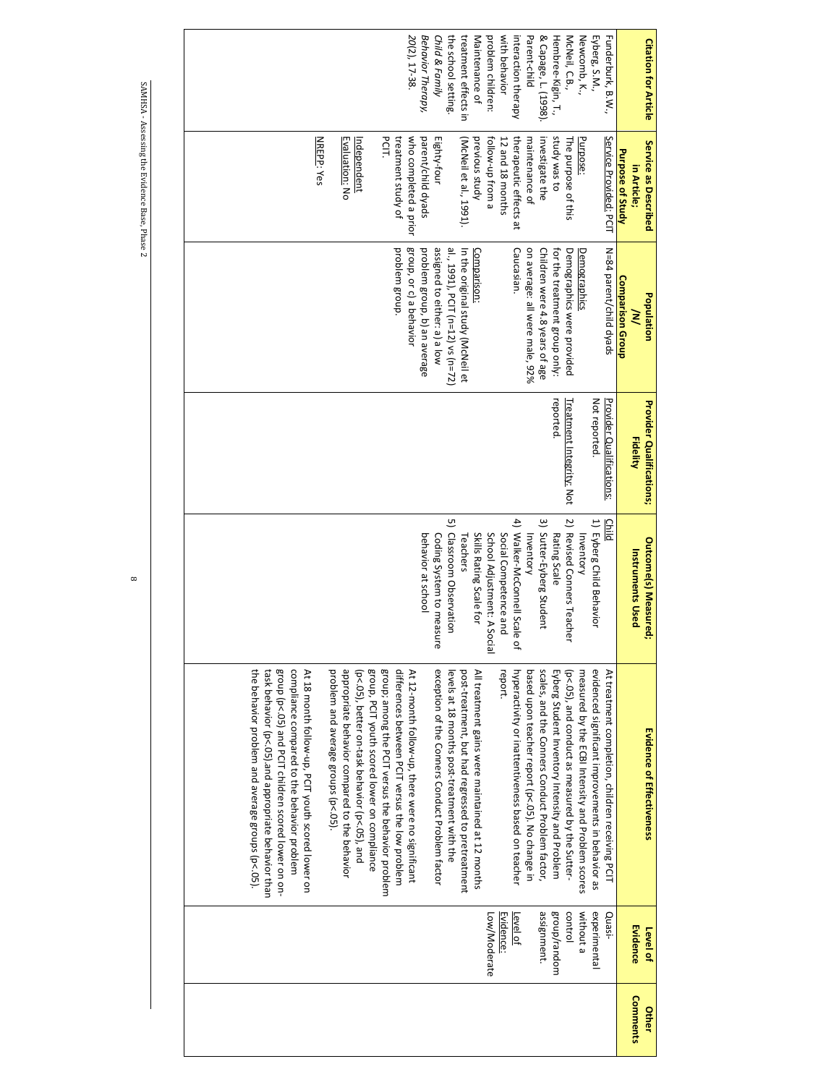| ٠<br>i<br>Ï<br>ı<br>Ï                |  |
|--------------------------------------|--|
| j<br>ı<br>J<br>I<br>í<br>í<br>í<br>ł |  |
|                                      |  |
| J<br>١<br>١                          |  |
| ļ                                    |  |
| ľ<br>ׇ֚֚֚֚֚֚֚֕֕                      |  |

| <b>Citation for Article</b>                           |                  | Funderburk, B.W.,                                |                                                   | Eyberg, S.M.,                                     | Newcomb, K.,                                    | McNeil, C.B.,                                  | Hembree-Kigin, T.,                              |                                                 | Parent-child<br>& Capage, L. (1998).              | interaction therapy    | with behavior               | problem children:                                | Maintenance of                                    | treatment effects in             | the school setting.                         | Child & Family                                  | Behavior Therapy,            | 20(2), 17-38.                                    |                                                 |                                                   |                                              |                                               |                                               |                                     |                                                   |                                             |                                                     |                                                     |                                                  |  |
|-------------------------------------------------------|------------------|--------------------------------------------------|---------------------------------------------------|---------------------------------------------------|-------------------------------------------------|------------------------------------------------|-------------------------------------------------|-------------------------------------------------|---------------------------------------------------|------------------------|-----------------------------|--------------------------------------------------|---------------------------------------------------|----------------------------------|---------------------------------------------|-------------------------------------------------|------------------------------|--------------------------------------------------|-------------------------------------------------|---------------------------------------------------|----------------------------------------------|-----------------------------------------------|-----------------------------------------------|-------------------------------------|---------------------------------------------------|---------------------------------------------|-----------------------------------------------------|-----------------------------------------------------|--------------------------------------------------|--|
|                                                       |                  |                                                  |                                                   |                                                   |                                                 |                                                |                                                 |                                                 |                                                   |                        |                             |                                                  |                                                   |                                  |                                             |                                                 |                              |                                                  |                                                 | <b>PCIT.</b>                                      |                                              |                                               |                                               |                                     |                                                   |                                             |                                                     |                                                     |                                                  |  |
| Service as Described<br>in Article;                   | Purpose of Study | Service Provided: PCIT                           |                                                   | Purpose:                                          | The purpose of this                             | study was to                                   | investigate the                                 |                                                 | maintenance of                                    | therapeutic effects at | 12 and 18 months            | follow-up from a                                 | previous study                                    | (McNeil et al., 1991).           |                                             | Eighty-four                                     | parent/child dyads           | who completed a prior                            | treatment study of                              |                                                   |                                              | Independent                                   | Evaluation: No                                |                                     | NREPP: Yes                                        |                                             |                                                     |                                                     |                                                  |  |
| Population<br>⋛                                       | Comparison Group | N=84 parent/child dyads                          |                                                   | Demographics                                      | Demographics were provided                      | for the treatment group only:                  | Children were 4.8 years of age                  | on average: all were male, 92%                  | Caucasian.                                        |                        |                             |                                                  | Comparison:                                       | In the original study (McNeil et | al., 1991), PCIT (n=12) vs (n=72)           | assigned to either: a) a low                    | problem group, b) an average | group, or c) a behavior                          | problem group.                                  |                                                   |                                              |                                               |                                               |                                     |                                                   |                                             |                                                     |                                                     |                                                  |  |
| <b>Provider Qualifications;</b><br><b>Fidelity</b>    |                  | <b>Provider Qualifications:</b>                  | Not reported                                      |                                                   | <b>Treatment Integrity: Not</b>                 | reported.                                      |                                                 |                                                 |                                                   |                        |                             |                                                  |                                                   |                                  |                                             |                                                 |                              |                                                  |                                                 |                                                   |                                              |                                               |                                               |                                     |                                                   |                                             |                                                     |                                                     |                                                  |  |
| <b>Outcome(s) Measured</b><br><b>Instruments Used</b> |                  | Child                                            | 1) Eyberg Child Behavior                          | <b>Inventory</b>                                  | 2) Revised Conners Teache                       | Rating Scale                                   | 3) Sutter-Eyberg Student                        | Inventory                                       | 4) Walker-McConnell Scale<br>٩                    | Social Competence and  | School Adjustment: A Social | Skills Rating Scale for                          | Teachers                                          |                                  | ىي<br>Classroom Observation                 | Coding System to measure                        | behavior at school           |                                                  |                                                 |                                                   |                                              |                                               |                                               |                                     |                                                   |                                             |                                                     |                                                     |                                                  |  |
| Evidence of Effectiveness                             |                  | At treatment completion, children receiving PCIT | evidenced significant improvements in behavior as | measured by the ECBI Intensity and Problem scores | (p<.05), and conduct as measured by the Sutter- | Eyberg Student Inventory Intensity and Problem | scales, and the Conners Conduct Problem factor, | based upon teacher report (p<.05). No change in | hyperactivity or inattentiveness based on teacher | report.                |                             | All treatment gains were maintained at 12 months | post-treatment, but had regressed to pretreatment |                                  | levels at 18 months post-treatment with the | exception of the Conners Conduct Problem factor |                              | At 12-month follow-up, there were no significant | differences between PCIT versus the low problem | group; among the PCIT versus the behavior problem | group, PCIT youth scored lower on compliance | (p<.05), better on-task behavior (p<.05), and | appropriate behavior compared to the behavior | problem and average groups (p<.05). | At 18 month follow-up, PCIT youth scored lower on | compliance compared to the behavior problem | group (p<.05) and PCIT children scored lower on on- | task behavior (p<.05) and appropriate behavior than | the behavior problem and average groups (p<.05). |  |
| <b>Evidence</b><br>Level of                           |                  | Quasi-                                           | experimental                                      | without a                                         | control                                         | group/random                                   | assignment.                                     |                                                 | <u>Level of</u>                                   | Evidence:              | Low/Moderate                |                                                  |                                                   |                                  |                                             |                                                 |                              |                                                  |                                                 |                                                   |                                              |                                               |                                               |                                     |                                                   |                                             |                                                     |                                                     |                                                  |  |
| Comments<br><b>Other</b>                              |                  |                                                  |                                                   |                                                   |                                                 |                                                |                                                 |                                                 |                                                   |                        |                             |                                                  |                                                   |                                  |                                             |                                                 |                              |                                                  |                                                 |                                                   |                                              |                                               |                                               |                                     |                                                   |                                             |                                                     |                                                     |                                                  |  |

 $\infty$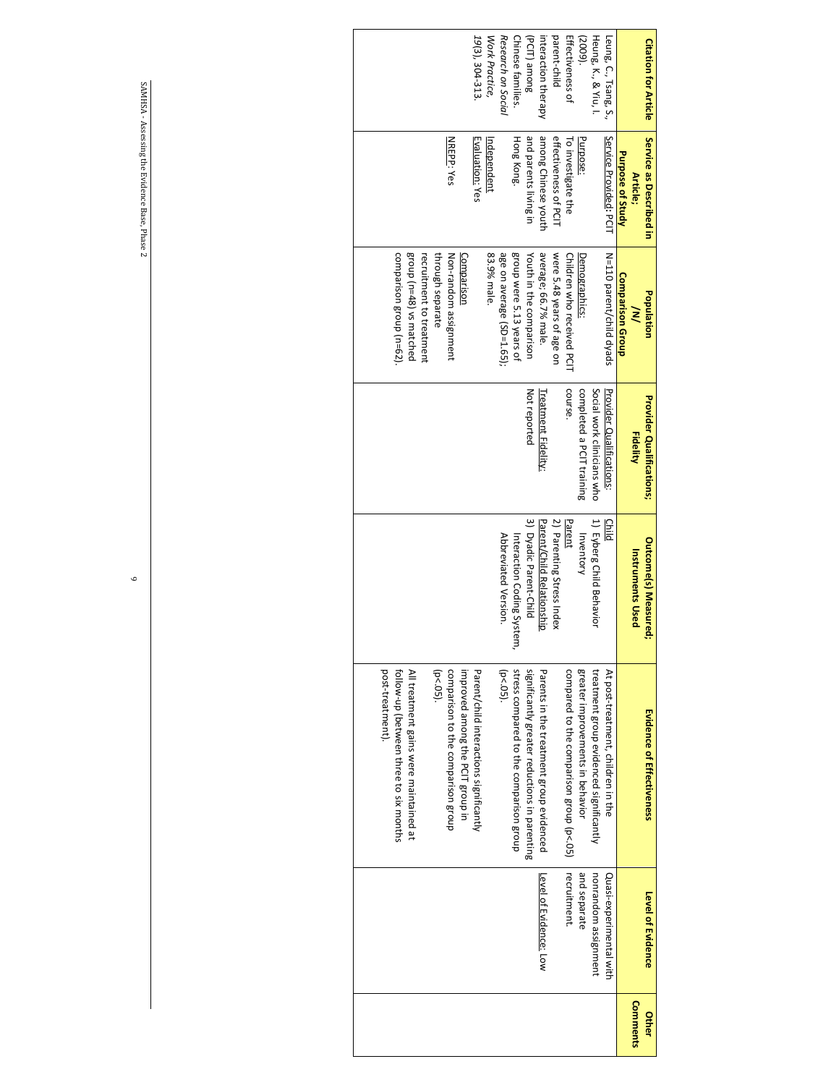| <b>Citation for Article</b> | Service as Described in<br>Article; | Population<br>$\geq$       | <b>Provider Qualifications;</b><br><b>Fidelity</b> | <b>Outcome(s) Measured</b><br><b>Instruments Used</b> | <b>Evidence of Effectiveness</b>              | Level of Evidence       | Comments<br>Other |
|-----------------------------|-------------------------------------|----------------------------|----------------------------------------------------|-------------------------------------------------------|-----------------------------------------------|-------------------------|-------------------|
|                             | Purpose of Study                    | Comparison Group           |                                                    |                                                       |                                               |                         |                   |
| Leung, C., Tsang, S.,       | Service Provided: PCIT              | N=110 parent/child dyads   | Provider Qualifications:                           | Child                                                 | At post-treatment, children in the            | Quasi-experimental with |                   |
| Heung, K., & Yiu, I.        |                                     |                            | Social work clinicians who                         | 1) Eyberg Child Behavior                              | treatment group evidenced significantly       | nonrandom assignment    |                   |
| (2009)                      | Purpose:                            | Demographics:              | completed a PCIT training                          | Inventory                                             | greater improvements in behavior              | and separate            |                   |
| Effectiveness of            | To investigate the                  | Children who received PCIT | course.                                            | Parent                                                | compared to the comparison group (p<.05)      | recruitment.            |                   |
| parent-child                | effectiveness of PCIT               | were 5.48 years of age on  |                                                    | 2) Parenting Stress Index                             |                                               |                         |                   |
| interaction therapy         | among Chinese youth                 | average; 66.7% male.       | Treatment Fidelity:                                | Parent/Child Relationship                             | Parents in the treatment group evidenced      | Level of Evidence: Low  |                   |
| (PCIT) among                | and parents living in               | Youth in the comparison    | Not reported                                       | 3) Dyadic Parent-Child                                | significantly greater reductions in parenting |                         |                   |
| Chinese families.           | Hong Kong.                          | group were 5.13 years of   |                                                    | Interaction Coding System,                            | stress compared to the comparison group       |                         |                   |
| Research on Social          |                                     | age on average (SD=1.65);  |                                                    | Abbreviated Version.                                  | $(p < .05)$ .                                 |                         |                   |
| Work Practice,              | Independent                         | 83.9% male                 |                                                    |                                                       |                                               |                         |                   |
| 19(3), 304-313              | Evaluation: Yes                     |                            |                                                    |                                                       | Parent/child interactions significantly       |                         |                   |
|                             |                                     | Comparison                 |                                                    |                                                       | improved among the PCIT group in              |                         |                   |
|                             | <b>NREPP: Yes</b>                   | Non-random assignment      |                                                    |                                                       | comparison to the comparison group            |                         |                   |
|                             |                                     | through separate           |                                                    |                                                       | $(p < .05)$ .                                 |                         |                   |
|                             |                                     | recruitment to treatment   |                                                    |                                                       |                                               |                         |                   |
|                             |                                     | group (n=48) vs matched    |                                                    |                                                       | All treatment gains were maintained at        |                         |                   |
|                             |                                     | comparison group (n=62)    |                                                    |                                                       | tollow-up (between three to six months        |                         |                   |
|                             |                                     |                            |                                                    |                                                       | post-treatment).                              |                         |                   |
|                             |                                     |                            |                                                    |                                                       |                                               |                         |                   |
|                             |                                     |                            |                                                    |                                                       |                                               |                         |                   |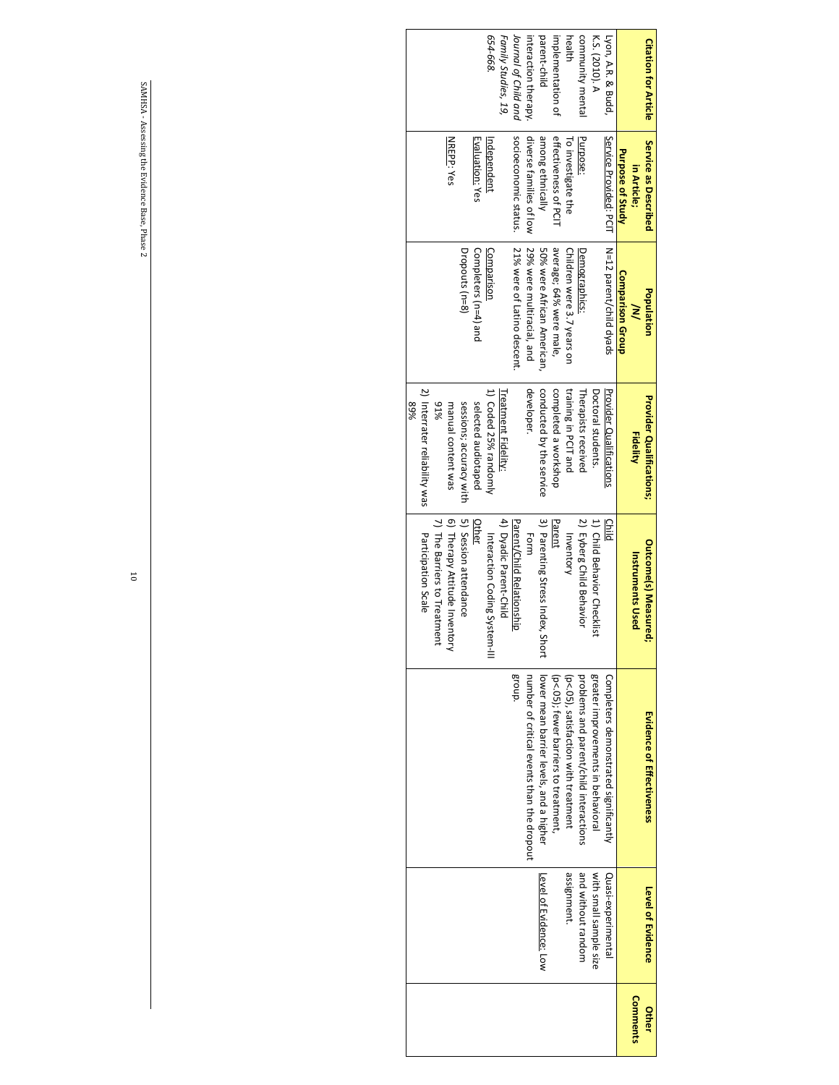| <b>Citation for Article</b> | Service as Described    | <b>Population</b>           | <b>Provider Qualifications;</b> | <b>Outcome(s) Measured;</b>         | <b>Evidence of Effectiveness</b>                                                        | Level of Evidence      | <b>Other</b> |
|-----------------------------|-------------------------|-----------------------------|---------------------------------|-------------------------------------|-----------------------------------------------------------------------------------------|------------------------|--------------|
|                             | in Article;             | $\geq$                      | <b>Fidelity</b>                 | <b>Instruments Used</b>             |                                                                                         |                        | Comments     |
|                             | Purpose of Study        | Comparison Group            |                                 |                                     |                                                                                         |                        |              |
| Lyon, A.R. & Budd           | Service Provided: PCIT  | N=12 parent/child dyads     | Provider Qualifications         | Child                               | Completers demonstrated significantly                                                   | Quasi-experimental     |              |
| K.S. (2010). A              |                         |                             | Doctoral students.              | 1) Child Behavior Checklist         | greater improvements in behavioral                                                      | with small sample size |              |
| community mental            | Purpose:                | Demographics:               | Therapists received             | 2) Eyberg Child Behavior            | problems and parent/child interactions                                                  | and without random     |              |
| health                      | To investigate the      | Children were 3.7 years on  | training in PCIT and            | Inventory                           | (p<br>of leading is a strict of leading the strict of leading<br>$(10 \times 10^{-10})$ | assignment.            |              |
| implementation of           | effectiveness of PCIT   | average; 64% were male,     | completed a workshop            | Parent                              | (p<05); fewer barriers to treatment,                                                    |                        |              |
| parent-child                | among ethnically        | 50% were African American,  | conducted by the service        | 3) Parenting Stress Index,<br>Short | lower mean barrier levels, and a higher                                                 | Level of Evidence: Low |              |
| interaction therapy         | diverse families of low | 29% were multiracial, and   | developer.                      | Form                                | number of critical events than the dropout                                              |                        |              |
| Journal of Child and        | socioeconomic status.   | 21% were of Latino descent. |                                 | Parent/Child Relationship           | Broup.                                                                                  |                        |              |
| Family Studies, 19,         |                         |                             | Treatment Fidelity:             | 4) Dyadic Parent-Child              |                                                                                         |                        |              |
| 654-668                     | Independent             | Comparison                  | 1) Coded 25% randomly           | Interaction Coding Syst<br>em-II    |                                                                                         |                        |              |
|                             | <u>Evaluation:</u> Yes  | Completers (n=4) and        | selected audiotaped             | Other                               |                                                                                         |                        |              |
|                             |                         | Dropouts (n=8)              | sessions; accuracy with         | 5) Session attendance               |                                                                                         |                        |              |
|                             | NREPP: Yes              |                             | manual content was              | 6) Therapy Attitude Inventory       |                                                                                         |                        |              |
|                             |                         |                             | 91%                             | 7) The Barriers to Treatment        |                                                                                         |                        |              |
|                             |                         |                             | 2) Interrater reliability was   | Participation Scale                 |                                                                                         |                        |              |
|                             |                         |                             | 89%                             |                                     |                                                                                         |                        |              |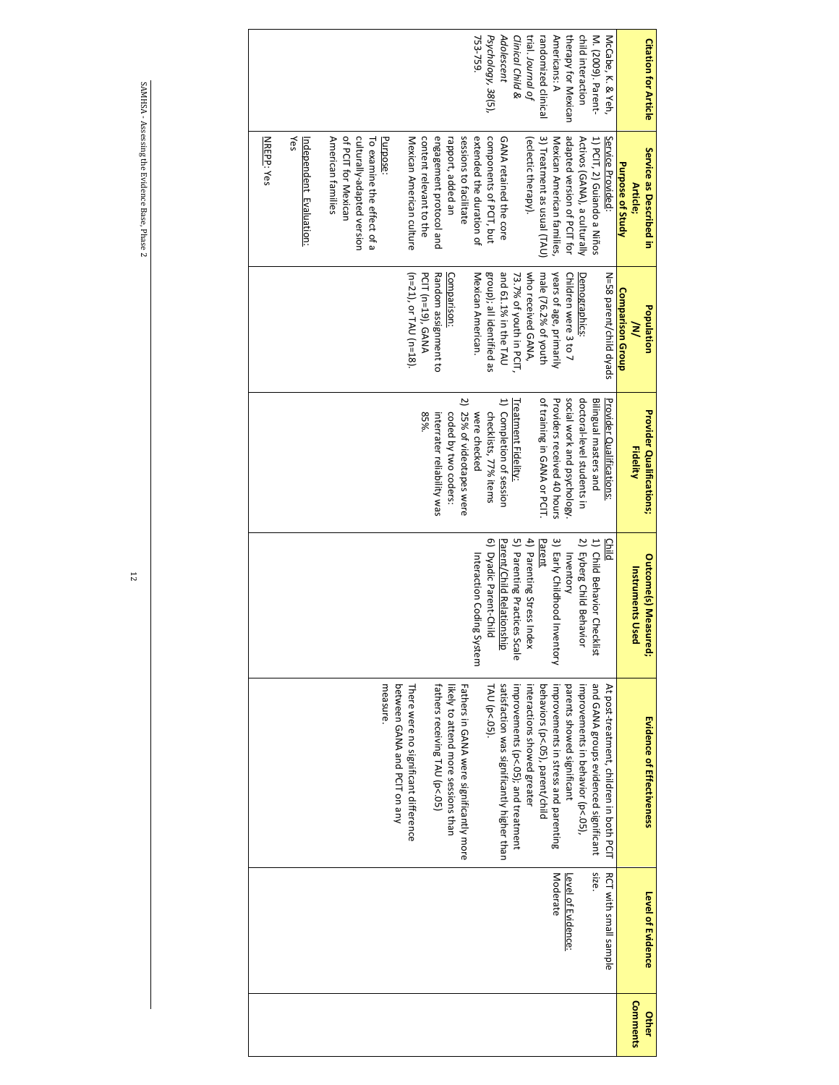| <b>Citation for Article</b> | Service as Described in      | Population                | <b>Provider Qualifications;</b> | Outcome(s) Measured;         | Evidence of Effectiveness                  | <b>Level of Evidence</b>     |
|-----------------------------|------------------------------|---------------------------|---------------------------------|------------------------------|--------------------------------------------|------------------------------|
|                             | Purpose of Study<br>Article; | <b>Comparison Group</b>   | <b>Fidelity</b>                 | <b>Instruments Used</b>      |                                            |                              |
| McCabe, K. & Yeh,           | Service Provided             | N=58 parent/child dyads   | Provider Qualifications:        | <b>Child</b>                 | At post-treatment, children in both PCIT   | <b>RCT with small sample</b> |
| M. (2009). Parent-          | 1) PCIT, 2) Guiando a Niños  |                           | Bilingual masters and           | 1) Child Behavior Checklist  | and GANA groups evidenced significant      | Size.                        |
| child interaction           | Activos (GANA), a culturally | Demographics:             | doctoral-level students in      | 2) Eyberg Child Behavior     | improvements in behavior (p<.05),          |                              |
| therapy for Mexican         | adapted version of PCIT for  | Children were 3 to 7      | social work and psychology      | Inventory                    | parents showed significant                 | Level of Evidence:           |
| Americans: A                | Mexican American families,   | years of age, primarily   | Providers received 40 hours     | 3) Early Childhood Inventory | improvements in stress and parenting       | Moderate                     |
| randomized clinical         | 3) Treatment as usual (TAU)  | male (76.2% of youth      | of training in GANA or PCIT.    | Parent                       | behaviors (p<.05), parent/child            |                              |
| trial. Journal of           | (eclectic therapy).          | who received GANA,        |                                 | 4) Parenting Stress Index    | interactions showed greater                |                              |
| Clinical Child &            |                              | 73.7% of youth in PCIT,   | <b>Treatment Fidelity</b>       | 5) Parenting Practices Scale | improvements (p<.05); and treatment        |                              |
| Adolescent                  | GANA retained the core       | and 61.1% in the TAU      | 1) Completion of session        | Parent/Child Relationship    | satisfaction was significantly higher than |                              |
| Psychology, 38(5),          | components of PCIT, but      | group); all identified as | checklists, 77% items           | 6) Dyadic Parent-Child       | TAU (p<.05).                               |                              |
| 753-759.                    | extended the duration of     | Mexican American.         | were checked                    | Interaction Coding System    |                                            |                              |
|                             | sessions to facilitate       |                           | 2) 25% of videotapes were       |                              | Fathers in GANA were significantly more    |                              |
|                             | rapport, added an            | Comparison:               | coded by two coders:            |                              | likely to attend more sessions than        |                              |
|                             | engagement protocol and      | Random assignment to      | interrater reliability was      |                              | fathers receiving TAU (p<.05)              |                              |
|                             | content relevant to the      | PCIT (n=19), GANA         | 85%.                            |                              |                                            |                              |
|                             | Mexican American culture     | (n=21), or TAU (n=18).    |                                 |                              | There were no significant difference       |                              |
|                             |                              |                           |                                 |                              | between GANA and PCIT on any               |                              |
|                             | Purpose:                     |                           |                                 |                              | measure.                                   |                              |
|                             | To examine the effect of a   |                           |                                 |                              |                                            |                              |
|                             | culturally-adapted version   |                           |                                 |                              |                                            |                              |
|                             | of PCIT for Mexican          |                           |                                 |                              |                                            |                              |
|                             | American families            |                           |                                 |                              |                                            |                              |
|                             | Independent Evaluation:      |                           |                                 |                              |                                            |                              |
|                             | kes                          |                           |                                 |                              |                                            |                              |
|                             | <b>NREPP: Yes</b>            |                           |                                 |                              |                                            |                              |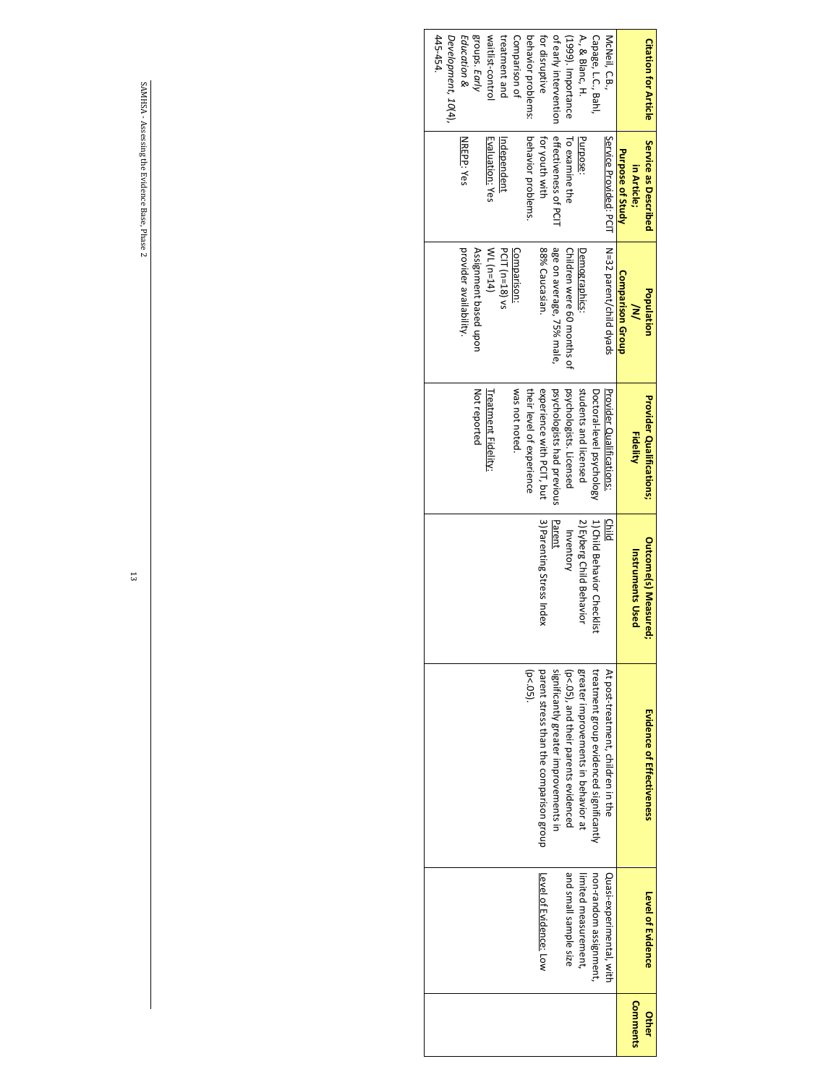| <b>Citation for Article</b>    | Service as Described   | Population                 | <b>Provider Qualifications;</b> | <b>Outcome(s) Measure</b>   | Evidence of Effectiveness               | Level of Evidence        | Other    |
|--------------------------------|------------------------|----------------------------|---------------------------------|-----------------------------|-----------------------------------------|--------------------------|----------|
|                                | in Article;            | $\geq$                     | <b>Fidelity</b>                 | <b>Instruments Used</b>     |                                         |                          | Comments |
|                                | Purpose of Study       | <b>Comparison Group</b>    |                                 |                             |                                         |                          |          |
| McNeil, C.B.,                  | Service Provided: PCIT | N=32 parent/child dyads    | Provider Qualitications:        | Child                       | At post-treatment, children in the      | Quasi-experimental, with |          |
| Capage, L.C., Bahl             |                        |                            | Doctoral-level psychology       | 1) Child Behavior Checklist | treatment group evidenced significantly | non-random assignment,   |          |
| A., & Blanc, H.                | Purpose:               | Demographics:              | students and licensed           | 2) Eyberg Child Behavior    | greater improvements in behavior at     | limited measurement,     |          |
| (1999). Importance             | To examine the         | Children were 60 months of | psychologists. Licensed         | Inventory                   | (by-'00,' and their parents exidenced   | and small sample size    |          |
| of early intervention          | effectiveness of PCI   | age on average, 75% male,  | psychologists had previous      | Parent                      | significantly greater improvements in   |                          |          |
| tor disruptive                 | for youth with         | 88% Caucasian              | experience with PCIT, but       | 3) Parenting Stress Index   | parent stress than the comparison group | Level of Evidence: Low   |          |
| behavior problems:             | behavior problems.     |                            | their level of experience       |                             | $(p < .05)$ .                           |                          |          |
| Comparison of                  |                        | Comparison:                | was not noted.                  |                             |                                         |                          |          |
| treatment and                  | Independent            | PCIT (n=18) vs             |                                 |                             |                                         |                          |          |
| waitlist-control               | Evaluation: Yes        | $WT (u=14)$                | Treatment Fidelity:             |                             |                                         |                          |          |
| groups. Early                  |                        | Assignment based upon      | Not reported                    |                             |                                         |                          |          |
| Education &                    | NREPP: Yes             | provider availability.     |                                 |                             |                                         |                          |          |
| 445-454<br>Development, 10(4), |                        |                            |                                 |                             |                                         |                          |          |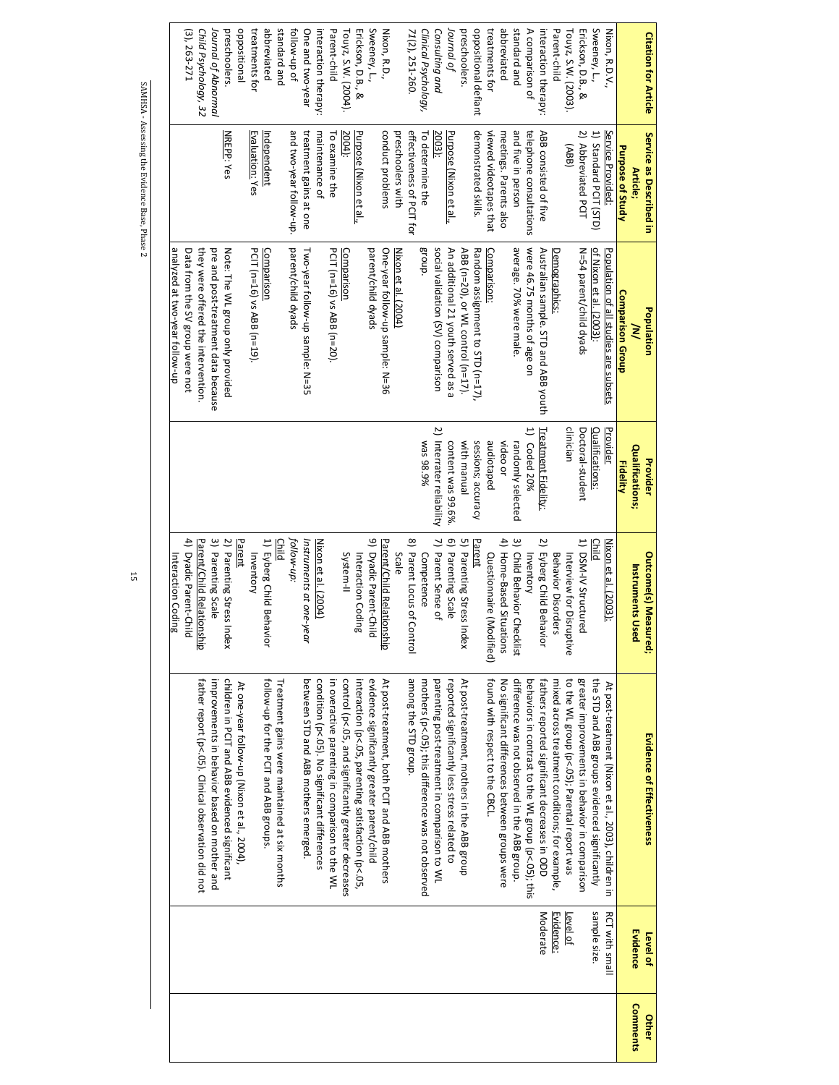| <b>Citation for Article</b> | Service as Described in   | Population                            | Provider                  | <b>Outcome(s) Measured;</b>     | Evidence of Effectiveness                           | Level of              | Other           |
|-----------------------------|---------------------------|---------------------------------------|---------------------------|---------------------------------|-----------------------------------------------------|-----------------------|-----------------|
|                             | Article;                  | ≷                                     | Qualifications;           | <b>Instruments Used</b>         |                                                     | Evidence              | <b>Comments</b> |
|                             | Purpose of Study          | Comparison Group                      | <b>Fidelity</b>           |                                 |                                                     |                       |                 |
| Nixon, R.D.V.,              | Service Provided:         | Population of all studies are subsets | Provider                  | Nixon et al. (2003):            | At post-treatment (Nixon et al., 2003), children in | <b>RCT with small</b> |                 |
| Sweeney, L.,                | 1) Standard PCIT (STD)    | of Nixon et al. (2003):               | Qualifications:           | Child                           | the STD and ABB groups evidenced significantly      | sample size.          |                 |
| Erickson, D.B., &           | 2) Abbreviated PCIT       | N=54 parent/child dyads               | Doctoral-student          | 1) DSM-IV Structured            | greater improvements in behavior in comparison      |                       |                 |
| Touyz, S.W. (2003).         | (ABB)                     |                                       | clinician                 | Interview for Disruptive        | to the WL group (p<.05); Parental report was        | Level of              |                 |
| Parent-child                |                           | Demographics:                         |                           | <b>Behavior Disorders</b>       | mixed across treatment conditions; for example,     | <b>Evidence:</b>      |                 |
| interaction therapy:        | ABB consisted of five     | Australian sample. STD and ABB youth  | Treatment Fidelity:       | ی<br>Eyberg Child Behavior      | fathers reported significant decreases in ODD       | Moderate              |                 |
| A comparison of             | telephone consultations   | were 46.75 months of age on           | 1) Coded 20%              | Inventory                       | behaviors in contrast to the WL group (p<.05); this |                       |                 |
| standard and                | and five in person        | average. 70% were male.               | randomly selected         | ِ س<br>Child Behavior Checklist | difference was not observed in the ABB group.       |                       |                 |
| abbreviated                 | meetings. Parents also    |                                       | video or                  | 4) Home-Based Situations        | No significant differences between groups were      |                       |                 |
| treatments for              | viewed videotapes that    | Comparison:                           | audiotaped                | Questionnaire (Modified)        | found with respect to the CBCL                      |                       |                 |
| oppositional defiant        | demonstrated skills.      | Random assignment to STD (n=17),      | sessions; accuracy        | Parent                          |                                                     |                       |                 |
| preschoolers.               |                           | ABB (n=20), or WL control (n=17).     | with manual               | 5) Parenting Stress In<br>dex   | At post-treatment, mothers in the ABB group         |                       |                 |
| Journal of                  | Purpose (Nixon et al.,    | An additional 21 youth served as a    | content was 99.6%         | 6) Parenting Scale              | reported significantly less stress related to       |                       |                 |
| Consulting and              | 2003):                    | social validation (SV) comparison     | 2) Interrater reliability | 7) Parent Sense of              | parenting post-treatment in comparison to WL        |                       |                 |
| Clinical Psychology,        | To determine the          | Broup.                                | %6'86 sem                 | Competence                      | mothers (p<.05); this difference was not observed   |                       |                 |
| 71(2), 251-260.             | effectiveness of PCIT for |                                       |                           | 8) Parent Locus of Control      | among the STD group.                                |                       |                 |
|                             | preschoolers with         | Nixon et al. (2004)                   |                           | Scale                           |                                                     |                       |                 |
| Nixon, R.D.,                | conduct problems          | One-year follow-up sample: N=36       |                           | Parent/Child Relationship       | At post-treatment, both PCIT and ABB mothers        |                       |                 |
| Sweeney, L.,                |                           | parent/child dyads                    |                           | 9) Dyadic Parent-Child          | evidence significantly greater parent/child         |                       |                 |
| Erickson, D.B., &           | Purpose (Nixon et al.,    |                                       |                           | Interaction Coding              | interaction (p<.05, parenting satisfaction (p<.05,  |                       |                 |
| Touyz, S.W. (2004).         | 2004):                    | <b>Comparison</b>                     |                           | System-II                       | control (p<.05, and significantly greater decreases |                       |                 |
| Parent-child                | To examine the            | PCIT (n=16) vs ABB (n=20).            |                           |                                 | in overactive parenting in comparison to the WL     |                       |                 |
| interaction therapy         | maintenance of            |                                       |                           | Nixon et al. (2004)             | condition (p<.05). No significant differences       |                       |                 |
| One and two-year            | treatment gains at one    | Two-year follow-up sample: N=35       |                           | Instruments at one-year         | between STD and ABB mothers emerged                 |                       |                 |
| follow-up of                | and two-year follow-up.   | parent/child dyads                    |                           | follow-up:                      |                                                     |                       |                 |
| standard and                |                           |                                       |                           | <b>Child</b>                    | Treatment gains were maintained at six months       |                       |                 |
| abbreviated                 | Independent               | Comparison                            |                           | 1) Eyberg Child Behavior        | follow-up for the PCIT and ABB groups.              |                       |                 |
| treatments for              | Evaluation: Yes           | PCIT (n=16) vs ABB (n=19).            |                           | Inventory                       |                                                     |                       |                 |
| oppositional                |                           |                                       |                           | Parent                          | At one-year follow-up (Nixon et al., 2004),         |                       |                 |
| preschoolers.               | <b>NREPP: Yes</b>         | Note: The WL group only provided      |                           | 2) Parenting Stress In<br>dex   | children in PCIT and ABB evidenced significant      |                       |                 |
| Journal of Abnormal         |                           | pre and post-treatment data because   |                           | 3) Parenting Scale              | improvements in behavior based on mother and        |                       |                 |
| Child Psychology, 32        |                           | they were offered the intervention.   |                           | Parent/Child Relationship       | father report (p<.05). Clinical observation did not |                       |                 |
| $(3), 263 - 271$            |                           | Data from the SV group were not       |                           | 4) Dyadic Parent-Child          |                                                     |                       |                 |
|                             |                           | analyzed at two-year follow-up        |                           | Interaction Coding              |                                                     |                       |                 |
|                             |                           |                                       |                           |                                 |                                                     |                       |                 |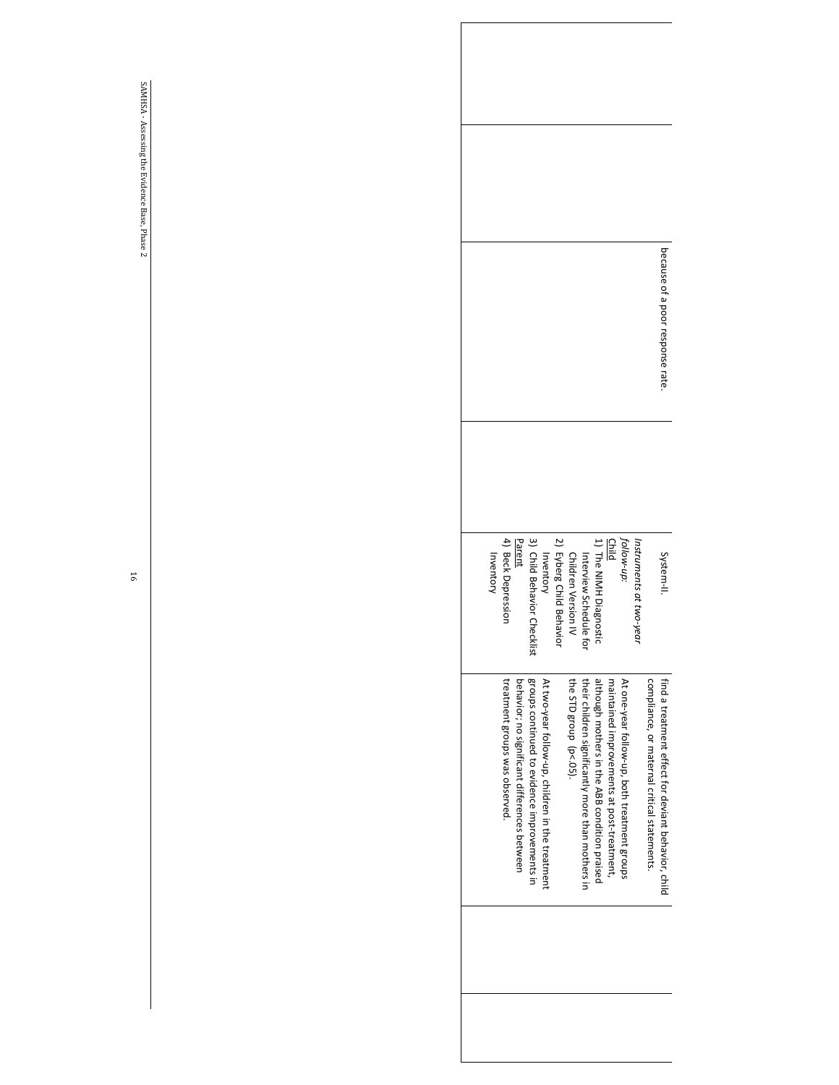|           |                                |                                              |                                              |                                                  |                                                                                             |                                                   |                                       |                                            |                                              |                        |                                             | because of a poor response rate.                    |
|-----------|--------------------------------|----------------------------------------------|----------------------------------------------|--------------------------------------------------|---------------------------------------------------------------------------------------------|---------------------------------------------------|---------------------------------------|--------------------------------------------|----------------------------------------------|------------------------|---------------------------------------------|-----------------------------------------------------|
| Inventory | 4) Beck Depression             | Parent                                       |                                              |                                                  | Children Version IV<br>2) Eyberg Child Behavior<br>Inventory<br>3) Child Behavior Checklist | Interview Schedule<br>ġ                           | 1) The NIMH Diagnosti                 |                                            | <i>follow-up:</i><br><u>Child</u>            | Instruments at two-yea |                                             | System-II                                           |
|           | treatment groups was observed. | behavior; no significant differences between | groups continued to evidence improvements in | At two-year follow-up, children in the treatment | the STD group (p<.05).                                                                      | their children significantly more than mothers in | although mothers in the ABB condition | maintained improvements at post-treatment, | At one-year follow-up, both treatment groups |                        | compliance, or maternal critical statements | find a treatment effect for deviant peravior, child |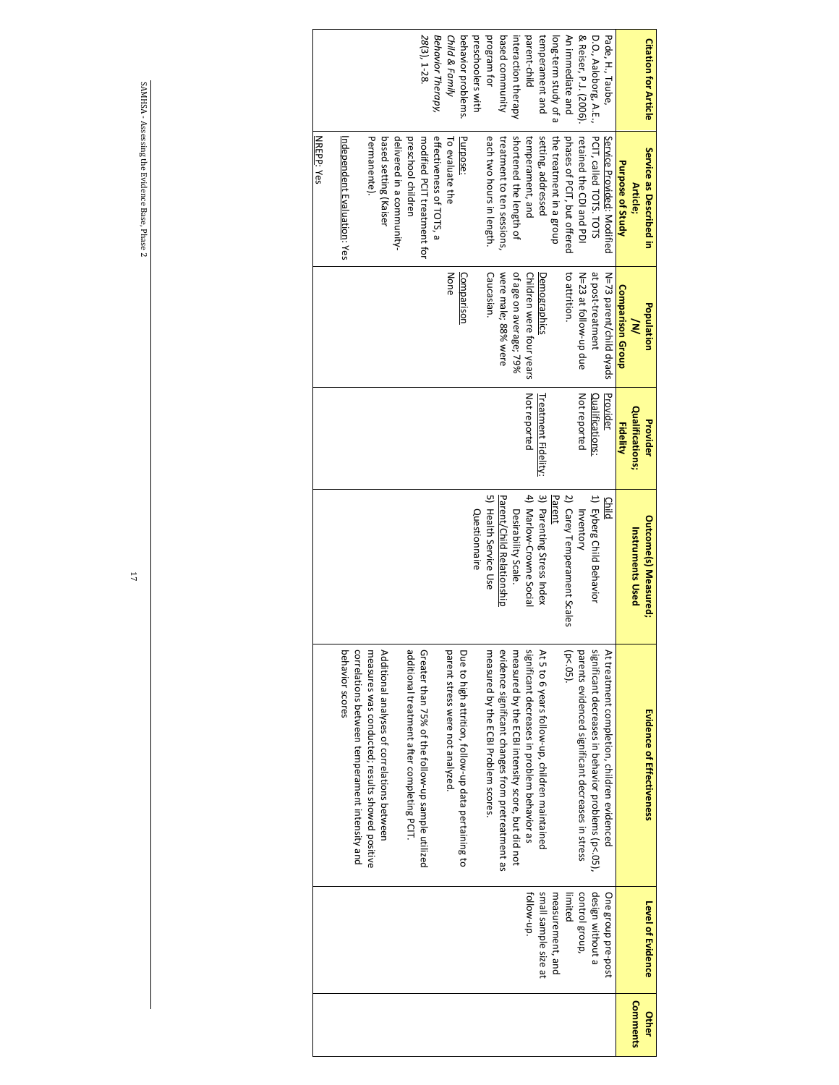| <b>Citation for Article</b> | Service as Described in     | Population               | Provider            | <b>Outcome(s) Measured;</b> | Evidence of Effectiveness                           | Level of Evidence    | Other           |
|-----------------------------|-----------------------------|--------------------------|---------------------|-----------------------------|-----------------------------------------------------|----------------------|-----------------|
|                             | Article;                    | ≷                        | Qualifications;     | <b>Instruments Used</b>     |                                                     |                      | <b>Comments</b> |
|                             | Purpose of Study            | Comparison Group         | <b>Fidelity</b>     |                             |                                                     |                      |                 |
| Pade, H., Taube,            | Service Provided: Modified  | N=73 parent/child dyads  | Provider            | Child                       | At treatment completion, children evidenced         | One group pre-post   |                 |
| D.O., Aaloborg, A.E.,       | PCIT, called TOTS. TOTS     | at post-treatment        | Qualifications:     | 1) Eyberg Child Behavior    | significant decreases in behavior problems (p<.05), | design without a     |                 |
| & Reiser, P.J. (2006).      | retained the CDI and PDI    | N=23 at follow-up due    | Not reported        | Inventory                   | parents evidenced significant decreases in stress   | control group,       |                 |
| An immediate and            | phases of PCIT, but offered | to attrition.            |                     | 2) Carey Temperament Scales | $(p < .05)$ .                                       | limited              |                 |
| long-term study of a        | the treatment in a group    |                          |                     | Parent                      |                                                     | measurement, and     |                 |
| temperament and             | setting, addressed          | Demographics             | Treatment Fidelity: | 3) Parenting Stress Index   | At 5 to 6 years follow-up, children maintained      | small sample size at |                 |
| parent-child                | temperament, and            | Children were four years | Not reported        | 4) Marlow-Crowne Social     | significant decreases in problem behavior as        | tollow-up.           |                 |
| interaction therapy         | shortened the length of     | of age on average; 79%   |                     | Desirability Scale.         | measured by the ECBI intensity score, but did not   |                      |                 |
| based community             | treatment to ten sessions,  | were male; 88% were      |                     | Parent/Child Relationship   | evidence significant changes from pretreatment as   |                      |                 |
| program for                 | each two hours in length.   | Caucasian.               |                     | 5) Health Service Use       | measured by the ECBI Problem scores                 |                      |                 |
| preschoolers with           |                             |                          |                     | Questionnaire               |                                                     |                      |                 |
| behavior problems.          | Purpose:                    | Comparison               |                     |                             | Due to high attrition, follow-up data pertaining to |                      |                 |
| Child & Family              | To evaluate the             | None                     |                     |                             | parent stress were not analyzed.                    |                      |                 |
| Behavior Therapy,           | effectiveness of TOTS, a    |                          |                     |                             |                                                     |                      |                 |
| 28(3), 1-28.                | modified PCIT treatment for |                          |                     |                             | Greater than 75% of the follow-up sample utilized   |                      |                 |
|                             | preschool children          |                          |                     |                             | additional treatment after completing PCIT.         |                      |                 |
|                             | delivered in a community-   |                          |                     |                             |                                                     |                      |                 |
|                             | based setting (Kaiser       |                          |                     |                             | Additional analyses of correlations between         |                      |                 |
|                             | Permanente).                |                          |                     |                             | measures was conducted; results showed positive     |                      |                 |
|                             |                             |                          |                     |                             | correlations between temperament intensity and      |                      |                 |
|                             | Independent Evaluation: Yes |                          |                     |                             | behavior scores                                     |                      |                 |
|                             | NREPP: Yes                  |                          |                     |                             |                                                     |                      |                 |
|                             |                             |                          |                     |                             |                                                     |                      |                 |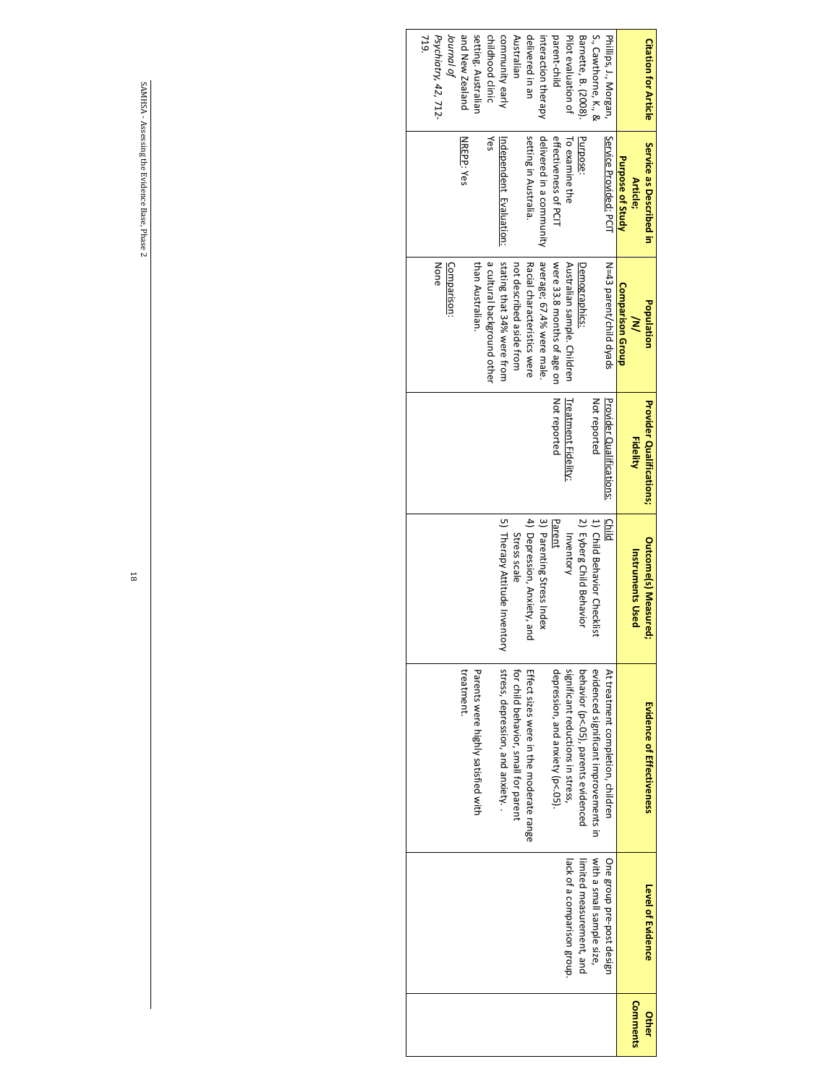| <b>Citation for Article</b> | Service as Described in<br>Article; | Population<br>≷             | Provider Qualifications;<br><b>Fidelity</b> | <b>Outcome(s) Measured</b><br><b>Instruments Used</b> | Evidence of Effectiveness               | Level of Evidence           | <b>Comments</b><br>Other |
|-----------------------------|-------------------------------------|-----------------------------|---------------------------------------------|-------------------------------------------------------|-----------------------------------------|-----------------------------|--------------------------|
|                             | <b>Purpose of Study</b>             | Comparison Group            |                                             |                                                       |                                         |                             |                          |
| Phillips, J., Morgan,       | Service Provided: PCIT              | N=43 parent/child dyads     | Provider Qualifications:                    | <b>Child</b>                                          | At treatment completion, children       | One group pre-post design   |                          |
| S., Cawthorne, K., &        |                                     |                             | Not reported                                | 1) Child Behavior Checklist                           | evidenced significant improvements in   | with a small sample size,   |                          |
| Barnette, B. (2008).        | Purpose:                            | Demographics:               |                                             | 2) Eyberg Child Behavior                              | behavior (p<.05), parents evidenced     | limited measurement, and    |                          |
| Pilot evaluation of         | To examine the                      | Australian sample. Children | Treatment Fidelity:                         | Inventory                                             | significant reductions in stress,       | lack of a comparison group. |                          |
| parent-child                | effectiveness of PCIT               | were 33.8 months of age on  | Not reported                                | Parent                                                | depression, and anxiety (p<.05).        |                             |                          |
| interaction therapy         | delivered in a community            | average; 67.4% were male.   |                                             | 3) Parenting Stress Index                             |                                         |                             |                          |
| delivered in an             | setting in Australia.               | Racial characteristics were |                                             | 4) Depression, Anxiety, and                           | Effect sizes were in the moderate range |                             |                          |
| Australian                  |                                     | not described aside from    |                                             | Stress scale                                          | for child behavior, small for parent    |                             |                          |
| community early             | Independent Evaluation:             | stating that 34% were from  |                                             | 5) Therapy Attitude Inventory                         | stress, depression, and anxiety.        |                             |                          |
| childhood clinic            | Yes                                 | a cultural background other |                                             |                                                       |                                         |                             |                          |
| setting. Australian         |                                     | than Australian.            |                                             |                                                       | Parents were highly satisfied with      |                             |                          |
| and New Zealand             | NREPP: Yes                          |                             |                                             |                                                       | treatment                               |                             |                          |
| Journal of                  |                                     | Comparison:                 |                                             |                                                       |                                         |                             |                          |
| Psychiatry, 42, 712-        |                                     | None                        |                                             |                                                       |                                         |                             |                          |
| 719.                        |                                     |                             |                                             |                                                       |                                         |                             |                          |
|                             |                                     |                             |                                             |                                                       |                                         |                             |                          |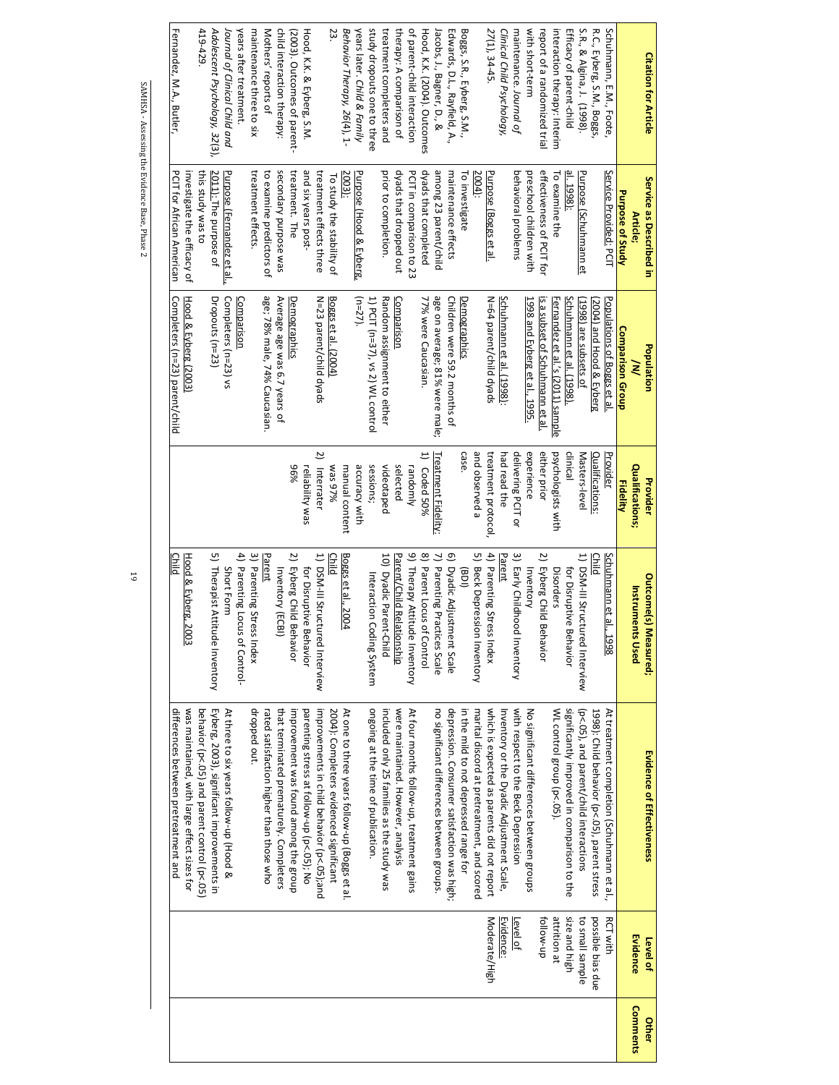| <b>Citation for Article</b>   | Service as Described in                    | Population                                      | Provider                     | <b>Outcome(s) Measured;</b>             | <b>Evidence of Effectiveness</b>              | Level of          | Other    |
|-------------------------------|--------------------------------------------|-------------------------------------------------|------------------------------|-----------------------------------------|-----------------------------------------------|-------------------|----------|
|                               | Article;                                   | ≷                                               | Qualifications;<br>Fidelity  | <b>Instruments Used</b>                 |                                               | Evidence          | Comments |
| Schuhmann, E.M., Foote        | Service Provided: PCIT<br>Purpose of Study | Populations of Boggs et al.<br>Comparison Group | Provider                     | Schuhmann et al.,<br>1998               | At treatment completion (Schuhmann et al.,    | <b>RCT with</b>   |          |
| R.C., Eyberg, S.M., Boggs,    |                                            | 2004) and Hood & Eyberg                         | Qualifications:              | Child                                   | 1998): Child behavior (p<.05), parent stress  | possible bias due |          |
| S.R., & Algina, J. (1998).    | Purpose (Schuhmann et                      | (1998) are subsets of                           | Masters-level                | 1) DSM-III Structured Interview         | (p<.05), and parent/child interactions        | to small sample   |          |
| Efficacy of parent-child      | al. 1998):                                 | Schuhmann et al. (1998)                         | clinical                     | for Disruptive<br><b>Behavior</b>       | significantly improved in comparison to the   | size and high     |          |
| interaction therapy: Interim  | To examine the                             | Fernandez et al.'s (2011) sample                | psychologists with           | Disorders                               | WL control group (p<.05).                     | attrition at      |          |
| report of a randomized trial  | effectiveness of PCIT for                  | is a subset of Schuhmann et al.                 | either prior                 | $\overline{c}$<br>Eyberg Child Behavior |                                               | follow-up         |          |
| with short-term               | preschool children with                    | 1998 and Eyberg et al., 1995.                   | experience                   | Inventory                               | No significant differences between groups     |                   |          |
| maintenance. Journal of       | behavioral problems                        |                                                 | delivering PCIT or           | 3) Early Childhood Inventory            | with respect to the Beck Depression           | Level of          |          |
| Clinical Child Psychology,    |                                            | Schuhmann et al. (1998):                        | had read the                 | Parent                                  | Inventory or the Dyadic Adjustment Scale,     | Evidence          |          |
| 27(1), 34-45.                 | Purpose (Boggs et al.                      | N=64 parent/child dyads                         | treatment protocol           | 4) Parenting Stress Index               | which is expected as parents did not report   | Moderate/High     |          |
|                               | 2004):                                     |                                                 | and observed a               | 5) Beck Depression Inventory            | marital discord at pretreatment, and scored   |                   |          |
| Boggs, S.R., Eyberg, S.M.,    | To investigate                             | Demographics                                    | case.                        | (10B)                                   | in the mild to not depressed range for        |                   |          |
| Edwards, D.L., Rayfield, A.,  | maintenance effects                        | Children were 59.2 months of                    |                              | ඉ<br>Dyadic Adjustment Scale            | depression. Consumer satisfaction was high;   |                   |          |
| Jacobs, J., Bagner, D., &     | among 23 parent/child                      | age on average; 81% were male;                  | <b>Treatment Fidelity:</b>   | 7) Parenting Practices Scale            | no significant differences between groups.    |                   |          |
| Hood, K.K. (2004). Outcomes   | dyads that completed                       | 77% were Caucasian.                             | 1) Coded 50%                 | 8) Parent Locus of Control              |                                               |                   |          |
| of parent-child interaction   | PCIT in comparison to 23                   |                                                 | randomly                     | 9) Therapy Attitude Inventory           | At four months follow-up, treatment gains     |                   |          |
| therapy: A comparison of      | dyads that dropped out                     | Comparison                                      | selected                     | Parent/Child Relationship               | were maintained. However, analysis            |                   |          |
| treatment completers and      | prior to completion.                       | Random assignment to either                     | videotaped                   | 10) Dyadic Parent-Child                 | included only 25 families as the study was    |                   |          |
| study dropouts one to three   |                                            | 1) PCIT (n=37), vs 2) WL control                | sessions;                    | Interaction Coding System               | ongoing at the time of publication.           |                   |          |
| years later. Child & Family   | Purpose (Hood & Eyberg,                    | $(n=27)$                                        | accuracy with                |                                         |                                               |                   |          |
| Behavior Therapy, 26(4), 1-   | 2003):                                     |                                                 | manual content               | Boggs et al., 2004                      | At one to three years follow-up (Boggs et al. |                   |          |
| 23                            | To study the stability of                  | Boggs et al. (2004)                             | %26 sew                      | <u>Child</u>                            | 2004): Completers evidenced significant       |                   |          |
|                               | treatment effects three                    | N=23 parent/child dyads                         | $\overline{z}$<br>Interrater | 1) DSM-III Structured Interview         | improvements in child behavior (p<.05);and    |                   |          |
| Hood, K.K. & Eyberg, S.M.     | and six years post-                        |                                                 | reliability was              | for Disruptive<br>Behavior              | parenting stress at follow-up (p<.05); No     |                   |          |
| (2003). Outcomes of parent-   | treatment. The                             | <b>Demographics</b>                             | 96%                          | 2) Eyberg Child Behavior                | improvement was found among the group         |                   |          |
| child interaction therapy:    | secondary purpose was                      | Average age was 6.7 years of                    |                              | Inventory (ECBI)                        | that terminated prematurely. Completers       |                   |          |
| Mothers' reports of           | to examine predictors of                   | age; 78% male, 74% Caucasian.                   |                              | Parent                                  | rated satisfaction higher than those who      |                   |          |
| maintenance three to six      | treatment effects.                         |                                                 |                              | 3) Parenting Stress Index               | dropped out.                                  |                   |          |
| years after treatment.        |                                            | Comparison                                      |                              | 4) Parenting Locus of Control-          |                                               |                   |          |
| Journal of Clinical Child and | Purpose (Fernandez et al.                  | Completers (n=23) vs                            |                              | Short Form                              | At three to six years follow-up (Hood &       |                   |          |
| Adolescent Psychology, 32(3). | 2011): The purpose of                      | Dropouts (n=23)                                 |                              | 5) Therapist Attitude Inventory         | Eyberg, 2003), significant improvements in    |                   |          |
| 419-429                       | this study was to                          |                                                 |                              |                                         | behavior (p<.05) and parent control (p<.05)   |                   |          |
|                               | investigate the efficacy of                | Hood & Eyberg (2003)                            |                              |                                         |                                               |                   |          |
|                               |                                            |                                                 |                              | Hood & Eyberg, 2003                     | was maintained, with large effect sizes for   |                   |          |

19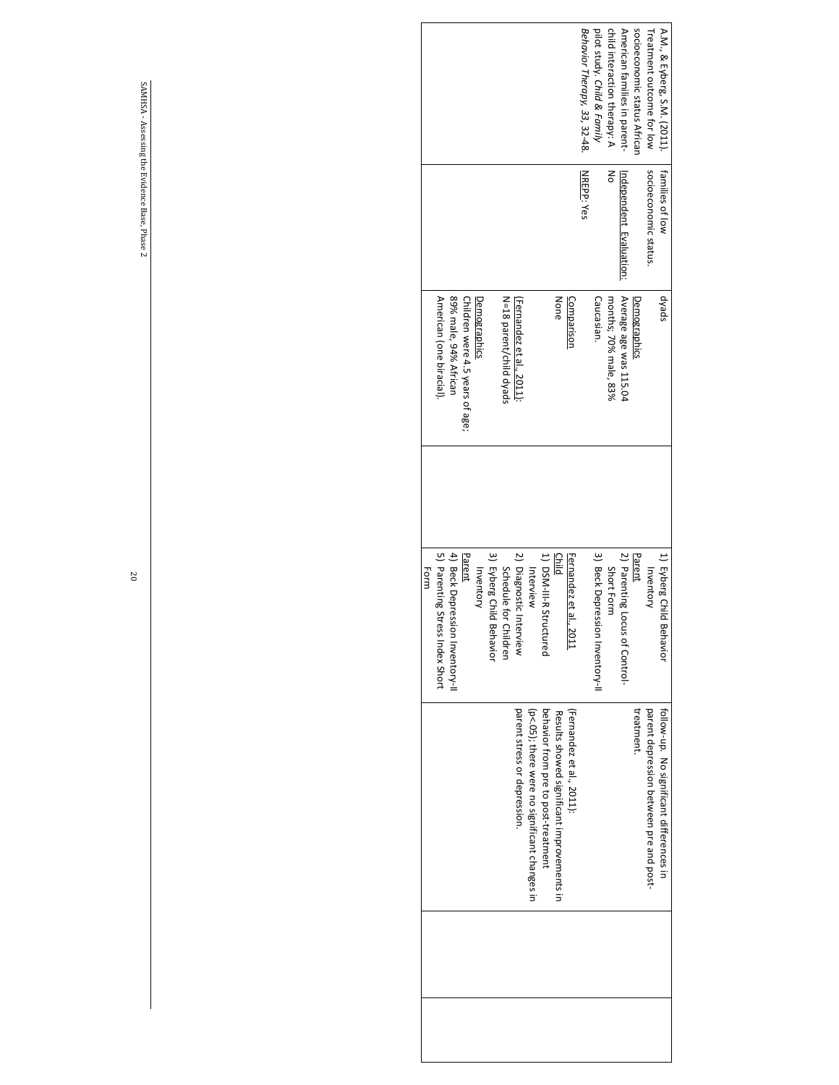| A.M., & Eyberg, S.M. (2011).<br>Behavior Therapy, 33, 32-48.<br>pilot study. Child & Family<br>child interaction therapy: A<br>American families in parent-<br>socioeconomic status African<br>Treatment outcome for low | <b>NREPP: Yes</b><br>δ<br>socioeconomic status.<br>families of low<br>Independent Evaluation: | Average age was 115.04<br>dyads<br>None<br>Caucasian.<br>months; 70% male, 83%<br>Comparison<br><b>Demographics</b> | 3) Beck Depression Inventory-II<br>2) Parenting Locus of Control-<br>1) Eyberg Child<br>1) DSN-III-R Structured<br>Child<br>Fernandez et al.,<br>Parent<br>Short Form<br><b>Inventory</b><br>.2011<br>Behavior | behavior from pre to post-treatment<br>(Fernandez et al., 2011):<br>treatment.<br>follow-up. No significant differences in<br>parent depression between pre and post-<br>Results showed significant improvements in |
|--------------------------------------------------------------------------------------------------------------------------------------------------------------------------------------------------------------------------|-----------------------------------------------------------------------------------------------|---------------------------------------------------------------------------------------------------------------------|----------------------------------------------------------------------------------------------------------------------------------------------------------------------------------------------------------------|---------------------------------------------------------------------------------------------------------------------------------------------------------------------------------------------------------------------|
|                                                                                                                                                                                                                          |                                                                                               |                                                                                                                     | Interview                                                                                                                                                                                                      | (p<.05); there were no significant changes in                                                                                                                                                                       |
|                                                                                                                                                                                                                          |                                                                                               | N=18 parent/child dyads<br>(Fernandez et al., 2011):                                                                | 3) Eyberg Child<br>2) Diagnostic Interview<br>Schedule for<br>Behavior<br>Children                                                                                                                             | parent stress or depression.                                                                                                                                                                                        |
|                                                                                                                                                                                                                          |                                                                                               | Children were 4.5 years of age;<br>Demographics                                                                     | Parent<br>Inventory                                                                                                                                                                                            |                                                                                                                                                                                                                     |
|                                                                                                                                                                                                                          |                                                                                               | American (one biracial).<br>89% male, 94% African                                                                   | 5) Parenting Stress Index Short<br>4) Beck Depression Inventory-II                                                                                                                                             |                                                                                                                                                                                                                     |
|                                                                                                                                                                                                                          |                                                                                               |                                                                                                                     | Form                                                                                                                                                                                                           |                                                                                                                                                                                                                     |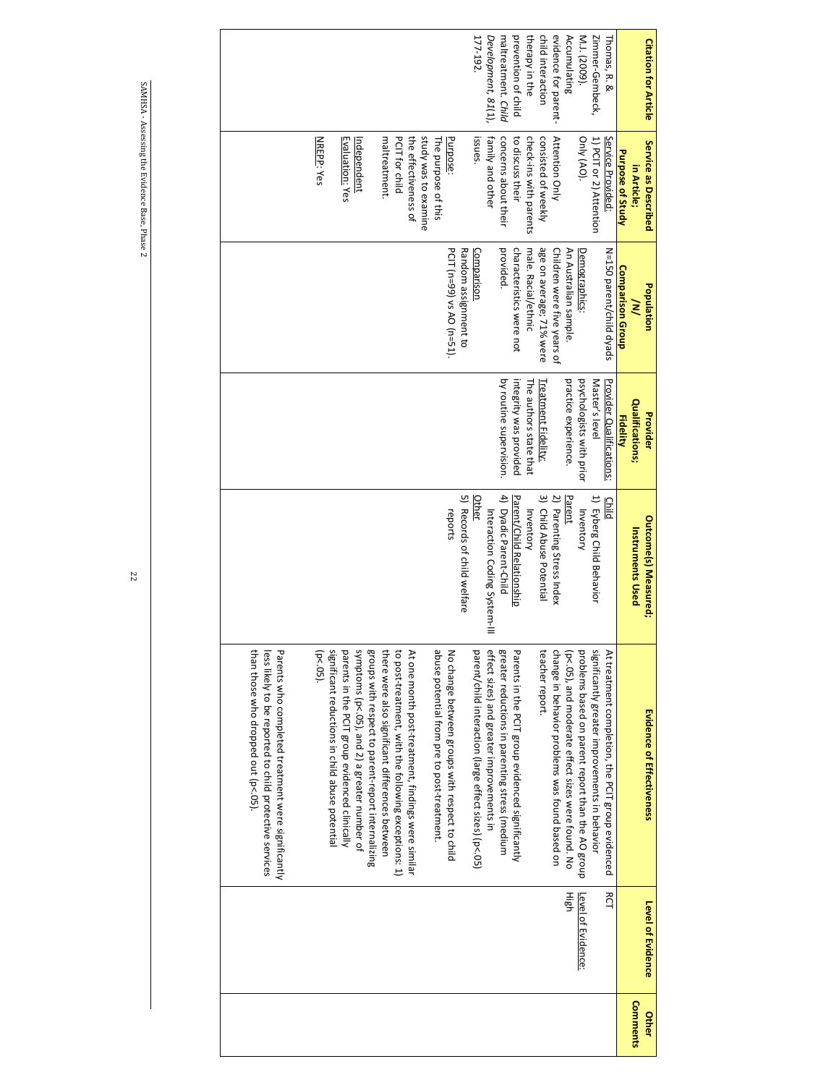| prevention of child<br>therapy in the<br>child interaction<br>evidence for parent-<br>Accumulating<br>Zimmer-Gembeck,<br>177-192.<br>maltreatment. Child<br>M.J. (2009).<br>Development, 81(1),<br>Thomas, R. &<br>Attention Only<br>study was to examine<br>check-ins with parents<br>Only (AO).<br>maltreatment<br>PCIT for child<br>the effectiveness of<br>issues.<br>concerns about their<br>consisted of weekly<br>1) PCIT or 2) Attention<br><b>NREPP: Yes</b><br>Evaluation: Yes<br>Purpose:<br>family and other<br>to discuss their<br>Service Provided<br>The purpose of this<br>Independent<br>Purpose of Study<br>in Article;<br>PCIT (n=99) vs AO (n=51).<br>provided.<br>characteristics were not<br>An Australian sample.<br>Random assignment to<br>male. Racial/ethnic<br>age on average; 71% were<br>Children were five years of<br>Comparison<br><b>Demographics</b><br>N=150 parent/child dyads<br><b>Comparison Group</b><br>≷<br>psychologists with prior<br>by routine supervision.<br>integrity was provided<br>practice experience.<br>Master's level<br><b>Provider Qualifications:</b><br>Treatment Fidelity:<br>The authors state that<br><b>Qualifications;</b><br><b>Fidelity</b><br>3) Child Abuse Potential<br>5) Records of child welfare<br>4) Dyadic Parent-Child<br>2) Parenting Stress Index<br>Parent/Child Relationship<br>1) Eyberg Child Behavior<br><b>Other</b><br>Parent<br>Child<br>reports<br>Inventory<br>Inventory<br>Interaction Coding System-III<br><b>Instruments Used</b><br>symptoms (p<.05), and 2) a greater number of<br>greater reductions in parenting stress (medium<br>significantly greater improvements in behavior<br>than those who dropped out (p<.05).<br>Parents who completed treatment were significantly<br>significant reductions in child abuse potential<br>groups with respect to parent-report internalizing<br>there were also significant differences between<br>to post-treatment, with the following exceptions: 1)<br>abuse potential from pre to post-treatment.<br>parent/child interaction (large effect sizes) (p<.05)<br>effect sizes) and greater improvements in<br>Parents in the PCIT group evidenced significantly<br>change in behavior problems was found based on<br>problems based on parent report than the AO group<br>parents in the PCIT group evidenced clinically<br>At one month post-treatment, findings were similar<br>No change between groups with respect to child<br>teacher report.<br>(p<.05), and moderate effect sizes were found. No<br>At treatment completion, the PCIT group evidenced<br>less likely to be reported to child protective services<br>$(p < 05)$ . | Population<br>Provider<br><b>Outcome(s) Measured;</b> | Evidence of Effectiveness |
|----------------------------------------------------------------------------------------------------------------------------------------------------------------------------------------------------------------------------------------------------------------------------------------------------------------------------------------------------------------------------------------------------------------------------------------------------------------------------------------------------------------------------------------------------------------------------------------------------------------------------------------------------------------------------------------------------------------------------------------------------------------------------------------------------------------------------------------------------------------------------------------------------------------------------------------------------------------------------------------------------------------------------------------------------------------------------------------------------------------------------------------------------------------------------------------------------------------------------------------------------------------------------------------------------------------------------------------------------------------------------------------------------------------------------------------------------------------------------------------------------------------------------------------------------------------------------------------------------------------------------------------------------------------------------------------------------------------------------------------------------------------------------------------------------------------------------------------------------------------------------------------------------------------------------------------------------------------------------------------------------------------------------------------------------------------------------------------------------------------------------------------------------------------------------------------------------------------------------------------------------------------------------------------------------------------------------------------------------------------------------------------------------------------------------------------------------------------------------------------------------------------------------------------------------------------------------------------------------------------------------------------------------------------------------------------|-------------------------------------------------------|---------------------------|
|                                                                                                                                                                                                                                                                                                                                                                                                                                                                                                                                                                                                                                                                                                                                                                                                                                                                                                                                                                                                                                                                                                                                                                                                                                                                                                                                                                                                                                                                                                                                                                                                                                                                                                                                                                                                                                                                                                                                                                                                                                                                                                                                                                                                                                                                                                                                                                                                                                                                                                                                                                                                                                                                                        |                                                       |                           |
|                                                                                                                                                                                                                                                                                                                                                                                                                                                                                                                                                                                                                                                                                                                                                                                                                                                                                                                                                                                                                                                                                                                                                                                                                                                                                                                                                                                                                                                                                                                                                                                                                                                                                                                                                                                                                                                                                                                                                                                                                                                                                                                                                                                                                                                                                                                                                                                                                                                                                                                                                                                                                                                                                        |                                                       |                           |
|                                                                                                                                                                                                                                                                                                                                                                                                                                                                                                                                                                                                                                                                                                                                                                                                                                                                                                                                                                                                                                                                                                                                                                                                                                                                                                                                                                                                                                                                                                                                                                                                                                                                                                                                                                                                                                                                                                                                                                                                                                                                                                                                                                                                                                                                                                                                                                                                                                                                                                                                                                                                                                                                                        |                                                       |                           |
|                                                                                                                                                                                                                                                                                                                                                                                                                                                                                                                                                                                                                                                                                                                                                                                                                                                                                                                                                                                                                                                                                                                                                                                                                                                                                                                                                                                                                                                                                                                                                                                                                                                                                                                                                                                                                                                                                                                                                                                                                                                                                                                                                                                                                                                                                                                                                                                                                                                                                                                                                                                                                                                                                        |                                                       |                           |
|                                                                                                                                                                                                                                                                                                                                                                                                                                                                                                                                                                                                                                                                                                                                                                                                                                                                                                                                                                                                                                                                                                                                                                                                                                                                                                                                                                                                                                                                                                                                                                                                                                                                                                                                                                                                                                                                                                                                                                                                                                                                                                                                                                                                                                                                                                                                                                                                                                                                                                                                                                                                                                                                                        |                                                       |                           |
|                                                                                                                                                                                                                                                                                                                                                                                                                                                                                                                                                                                                                                                                                                                                                                                                                                                                                                                                                                                                                                                                                                                                                                                                                                                                                                                                                                                                                                                                                                                                                                                                                                                                                                                                                                                                                                                                                                                                                                                                                                                                                                                                                                                                                                                                                                                                                                                                                                                                                                                                                                                                                                                                                        |                                                       |                           |
|                                                                                                                                                                                                                                                                                                                                                                                                                                                                                                                                                                                                                                                                                                                                                                                                                                                                                                                                                                                                                                                                                                                                                                                                                                                                                                                                                                                                                                                                                                                                                                                                                                                                                                                                                                                                                                                                                                                                                                                                                                                                                                                                                                                                                                                                                                                                                                                                                                                                                                                                                                                                                                                                                        |                                                       |                           |
|                                                                                                                                                                                                                                                                                                                                                                                                                                                                                                                                                                                                                                                                                                                                                                                                                                                                                                                                                                                                                                                                                                                                                                                                                                                                                                                                                                                                                                                                                                                                                                                                                                                                                                                                                                                                                                                                                                                                                                                                                                                                                                                                                                                                                                                                                                                                                                                                                                                                                                                                                                                                                                                                                        |                                                       |                           |
|                                                                                                                                                                                                                                                                                                                                                                                                                                                                                                                                                                                                                                                                                                                                                                                                                                                                                                                                                                                                                                                                                                                                                                                                                                                                                                                                                                                                                                                                                                                                                                                                                                                                                                                                                                                                                                                                                                                                                                                                                                                                                                                                                                                                                                                                                                                                                                                                                                                                                                                                                                                                                                                                                        |                                                       |                           |
|                                                                                                                                                                                                                                                                                                                                                                                                                                                                                                                                                                                                                                                                                                                                                                                                                                                                                                                                                                                                                                                                                                                                                                                                                                                                                                                                                                                                                                                                                                                                                                                                                                                                                                                                                                                                                                                                                                                                                                                                                                                                                                                                                                                                                                                                                                                                                                                                                                                                                                                                                                                                                                                                                        |                                                       |                           |
|                                                                                                                                                                                                                                                                                                                                                                                                                                                                                                                                                                                                                                                                                                                                                                                                                                                                                                                                                                                                                                                                                                                                                                                                                                                                                                                                                                                                                                                                                                                                                                                                                                                                                                                                                                                                                                                                                                                                                                                                                                                                                                                                                                                                                                                                                                                                                                                                                                                                                                                                                                                                                                                                                        |                                                       |                           |
|                                                                                                                                                                                                                                                                                                                                                                                                                                                                                                                                                                                                                                                                                                                                                                                                                                                                                                                                                                                                                                                                                                                                                                                                                                                                                                                                                                                                                                                                                                                                                                                                                                                                                                                                                                                                                                                                                                                                                                                                                                                                                                                                                                                                                                                                                                                                                                                                                                                                                                                                                                                                                                                                                        |                                                       |                           |
|                                                                                                                                                                                                                                                                                                                                                                                                                                                                                                                                                                                                                                                                                                                                                                                                                                                                                                                                                                                                                                                                                                                                                                                                                                                                                                                                                                                                                                                                                                                                                                                                                                                                                                                                                                                                                                                                                                                                                                                                                                                                                                                                                                                                                                                                                                                                                                                                                                                                                                                                                                                                                                                                                        |                                                       |                           |
|                                                                                                                                                                                                                                                                                                                                                                                                                                                                                                                                                                                                                                                                                                                                                                                                                                                                                                                                                                                                                                                                                                                                                                                                                                                                                                                                                                                                                                                                                                                                                                                                                                                                                                                                                                                                                                                                                                                                                                                                                                                                                                                                                                                                                                                                                                                                                                                                                                                                                                                                                                                                                                                                                        |                                                       |                           |
|                                                                                                                                                                                                                                                                                                                                                                                                                                                                                                                                                                                                                                                                                                                                                                                                                                                                                                                                                                                                                                                                                                                                                                                                                                                                                                                                                                                                                                                                                                                                                                                                                                                                                                                                                                                                                                                                                                                                                                                                                                                                                                                                                                                                                                                                                                                                                                                                                                                                                                                                                                                                                                                                                        |                                                       |                           |
|                                                                                                                                                                                                                                                                                                                                                                                                                                                                                                                                                                                                                                                                                                                                                                                                                                                                                                                                                                                                                                                                                                                                                                                                                                                                                                                                                                                                                                                                                                                                                                                                                                                                                                                                                                                                                                                                                                                                                                                                                                                                                                                                                                                                                                                                                                                                                                                                                                                                                                                                                                                                                                                                                        |                                                       |                           |
|                                                                                                                                                                                                                                                                                                                                                                                                                                                                                                                                                                                                                                                                                                                                                                                                                                                                                                                                                                                                                                                                                                                                                                                                                                                                                                                                                                                                                                                                                                                                                                                                                                                                                                                                                                                                                                                                                                                                                                                                                                                                                                                                                                                                                                                                                                                                                                                                                                                                                                                                                                                                                                                                                        |                                                       |                           |
|                                                                                                                                                                                                                                                                                                                                                                                                                                                                                                                                                                                                                                                                                                                                                                                                                                                                                                                                                                                                                                                                                                                                                                                                                                                                                                                                                                                                                                                                                                                                                                                                                                                                                                                                                                                                                                                                                                                                                                                                                                                                                                                                                                                                                                                                                                                                                                                                                                                                                                                                                                                                                                                                                        |                                                       |                           |
|                                                                                                                                                                                                                                                                                                                                                                                                                                                                                                                                                                                                                                                                                                                                                                                                                                                                                                                                                                                                                                                                                                                                                                                                                                                                                                                                                                                                                                                                                                                                                                                                                                                                                                                                                                                                                                                                                                                                                                                                                                                                                                                                                                                                                                                                                                                                                                                                                                                                                                                                                                                                                                                                                        |                                                       |                           |
|                                                                                                                                                                                                                                                                                                                                                                                                                                                                                                                                                                                                                                                                                                                                                                                                                                                                                                                                                                                                                                                                                                                                                                                                                                                                                                                                                                                                                                                                                                                                                                                                                                                                                                                                                                                                                                                                                                                                                                                                                                                                                                                                                                                                                                                                                                                                                                                                                                                                                                                                                                                                                                                                                        |                                                       |                           |
|                                                                                                                                                                                                                                                                                                                                                                                                                                                                                                                                                                                                                                                                                                                                                                                                                                                                                                                                                                                                                                                                                                                                                                                                                                                                                                                                                                                                                                                                                                                                                                                                                                                                                                                                                                                                                                                                                                                                                                                                                                                                                                                                                                                                                                                                                                                                                                                                                                                                                                                                                                                                                                                                                        |                                                       |                           |
|                                                                                                                                                                                                                                                                                                                                                                                                                                                                                                                                                                                                                                                                                                                                                                                                                                                                                                                                                                                                                                                                                                                                                                                                                                                                                                                                                                                                                                                                                                                                                                                                                                                                                                                                                                                                                                                                                                                                                                                                                                                                                                                                                                                                                                                                                                                                                                                                                                                                                                                                                                                                                                                                                        |                                                       |                           |
|                                                                                                                                                                                                                                                                                                                                                                                                                                                                                                                                                                                                                                                                                                                                                                                                                                                                                                                                                                                                                                                                                                                                                                                                                                                                                                                                                                                                                                                                                                                                                                                                                                                                                                                                                                                                                                                                                                                                                                                                                                                                                                                                                                                                                                                                                                                                                                                                                                                                                                                                                                                                                                                                                        |                                                       |                           |
|                                                                                                                                                                                                                                                                                                                                                                                                                                                                                                                                                                                                                                                                                                                                                                                                                                                                                                                                                                                                                                                                                                                                                                                                                                                                                                                                                                                                                                                                                                                                                                                                                                                                                                                                                                                                                                                                                                                                                                                                                                                                                                                                                                                                                                                                                                                                                                                                                                                                                                                                                                                                                                                                                        |                                                       |                           |
|                                                                                                                                                                                                                                                                                                                                                                                                                                                                                                                                                                                                                                                                                                                                                                                                                                                                                                                                                                                                                                                                                                                                                                                                                                                                                                                                                                                                                                                                                                                                                                                                                                                                                                                                                                                                                                                                                                                                                                                                                                                                                                                                                                                                                                                                                                                                                                                                                                                                                                                                                                                                                                                                                        |                                                       |                           |
|                                                                                                                                                                                                                                                                                                                                                                                                                                                                                                                                                                                                                                                                                                                                                                                                                                                                                                                                                                                                                                                                                                                                                                                                                                                                                                                                                                                                                                                                                                                                                                                                                                                                                                                                                                                                                                                                                                                                                                                                                                                                                                                                                                                                                                                                                                                                                                                                                                                                                                                                                                                                                                                                                        |                                                       |                           |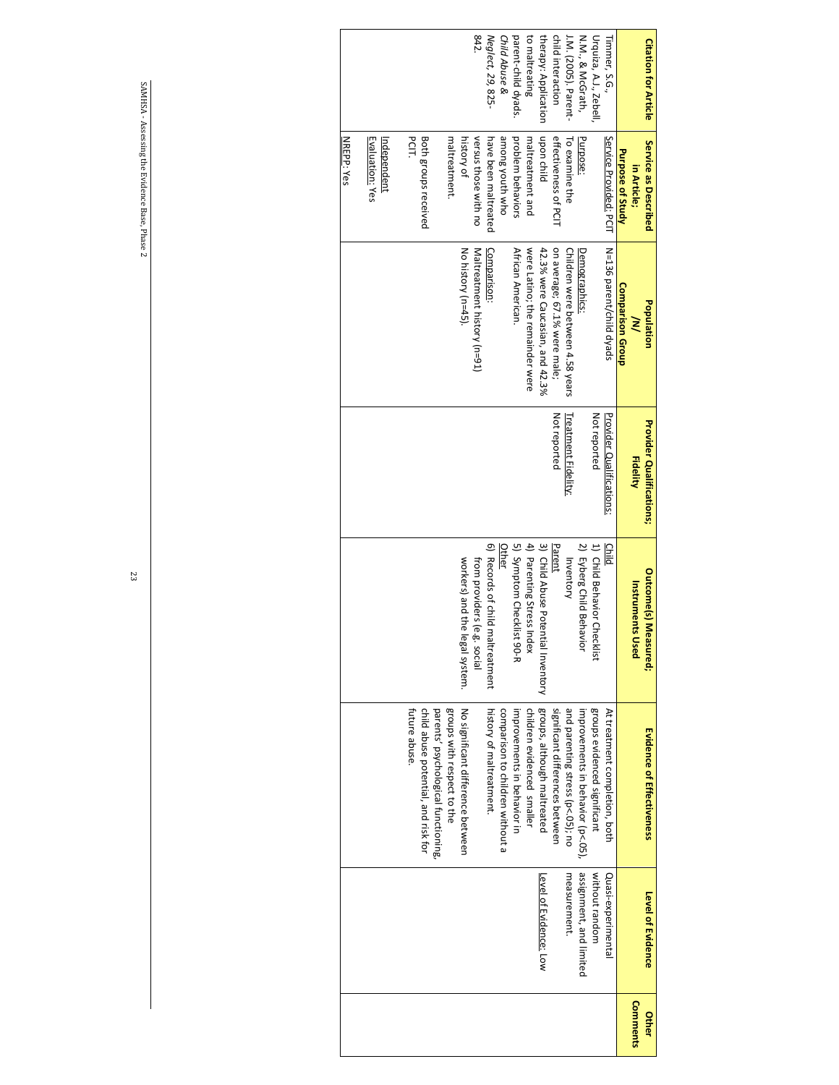| <b>Citation for Article</b> | Service as Described    | Population                       | <b>Provider Qualifications;</b> | <b>Outcome(s) Measured;</b>        | <b>Evidence of Effectiveness</b>                                  | <b>Level of Evidence</b> | Other    |
|-----------------------------|-------------------------|----------------------------------|---------------------------------|------------------------------------|-------------------------------------------------------------------|--------------------------|----------|
|                             | in Article;             | ŠΛ                               | <b>Fidelity</b>                 | Instruments<br><b>D</b> sed        |                                                                   |                          | Comments |
|                             | <b>Purpose of Study</b> | Comparison Group                 |                                 |                                    |                                                                   |                          |          |
| Timmer, S.G.,               | Service Provided: PCIT  | N=136 parent/child dyads         | Provider Qualifications:        | Child                              | At treatment completion, both                                     | Quasi-experimental       |          |
| Urquiza, A.J., Zebell       |                         |                                  | Not reported                    | 1) Child Behavior Checklist        | groups evidenced significant                                      | without random           |          |
| N.M., & McGrath,            | Purpose:                | Demographics:                    |                                 | 2) Eyberg Child Behavior           | improvements in behavior (p<.05),                                 | assignment, and limited  |          |
| J.M. (2005). Parent-        | To examine the          | Children were between 4.58 years | <b>Treatment Fidelity:</b>      | Inventory                          | and parenting stress (p<.05); no                                  | measurement.             |          |
| child interaction           | effectiveness of PCIT   | on average; 67.1% were male;     | Not reported                    | Parent                             | significant differences between                                   |                          |          |
| therapy: Application        | upon child              | 42.3% were Caucasian, and 42.3%  |                                 | 3) Child Abuse Potential Inventory | groups, although maltreated                                       | Level of Evidence: Low   |          |
| to maltreating              | maltreatment and        | were Latino; the remainder were  |                                 | 4) Parenting Stress Index          | children evidenced smaller                                        |                          |          |
| parent-child dyads.         | problem behaviors       | African American.                |                                 | 5) Symptom Checklist 90-R          | improvements in behavior in                                       |                          |          |
| Child Abuse &               | among youth who         |                                  |                                 | <b>Other</b>                       | comparison to children without a                                  |                          |          |
| Neglect, 29, 825-           | have been maltreated    | Comparison:                      |                                 | O) Records of child maltreatment   | history of maltreatment.                                          |                          |          |
| 842                         | versus those with no    | Maltreatment history (n=91)      |                                 | from providers (e.g<br>lei ocial   |                                                                   |                          |          |
|                             | history of              | No history (n=45).               |                                 | workers) and the legal system.     | No significant difference petween                                 |                          |          |
|                             | maltreatment.           |                                  |                                 |                                    | groups with respect to the<br>parents' psychological functioning, |                          |          |
|                             | Both groups received    |                                  |                                 |                                    | child abuse potential, and risk for                               |                          |          |
|                             | <b>DSTT</b>             |                                  |                                 |                                    | tuture abuse                                                      |                          |          |
|                             | Independent             |                                  |                                 |                                    |                                                                   |                          |          |
|                             | Evaluation: Yes         |                                  |                                 |                                    |                                                                   |                          |          |
|                             | NREPP: Yes              |                                  |                                 |                                    |                                                                   |                          |          |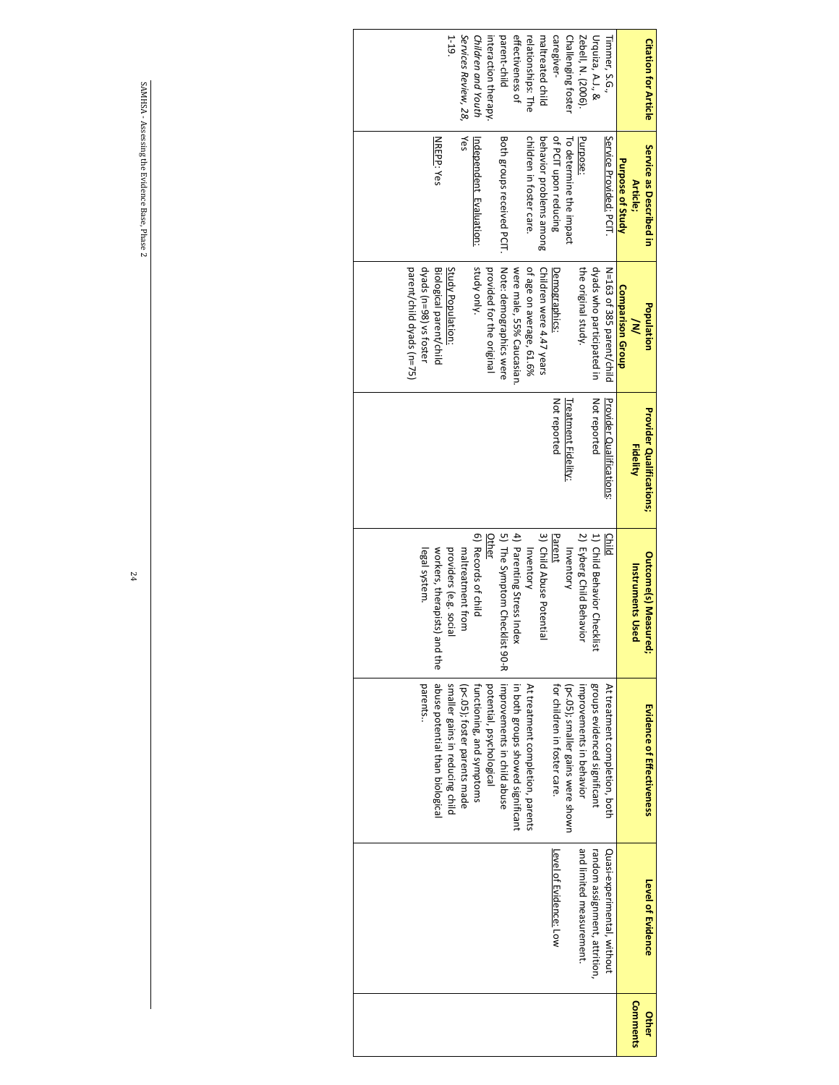| $1-19$ .<br>parent-child<br>effectiveness of<br>caregiver-<br>Challenging foster<br>Services Review, 28,<br>Children and Youth<br>maltreated child<br>Zebell, N. (2006).<br>Urquiza, A.J., &<br>relationships: The<br>interaction therapy<br>Timmer, S.G.,<br>Yes<br>children in foster care.<br>of PCIT upon reducing<br>Purpose:<br><b>NREPP: Yes</b><br>Both groups received PCIT.<br>behavior problems among<br>Service Provided: PCIT.<br>To determine the impact<br><u>Independent Evaluation:</u><br>Purpose of Study<br>Article;<br>Note: demographics were<br>parent/child dyads (n=75)<br>dyads (n=98) vs foster<br>study only.<br>dyads who participated in<br>of age on average, 61.6%<br>Children were 4.47 years<br>the original study.<br>Biological parent/child<br>Study Population:<br>provided for the original<br>were male, 55% Caucasian.<br>N=163 of 385 parent/child<br>Demographics:<br>Comparison Group<br>$\geq$<br>Not reported<br>Not reported<br>Provider Qualifications<br>Treatment Fidelity:<br><b>Fidelity</b><br>5) The Symptom Checklist 90-R<br>4) Parenting Stress Index<br>6) Records of child<br>3) Child Abuse Potentia<br>2) Eyberg Child Behavio<br>1) Child Behavior Checklist<br>Parent<br><b>Other</b><br><b>Child</b><br>Inventory<br>legal system.<br>Inventory<br>providers (e.g. social<br>maltreatment from<br>workers, therapists)<br><b>Instruments Use</b><br>and the<br>abuse potential than biological<br>groups evidenced significant<br>parents<br>smaller gains in reducing child<br>improvements in child abuse<br>potential, psychological<br>in both groups showed significant<br>At treatment completion, parents<br>improvements in behavior<br>At treatment completion, both<br>for children in foster care.<br>(p<.05); smaller gains were shown<br>(p<.05); foster parents made<br>functioning, and symptoms<br>and limited measurement.<br>Quasi-experimental, without<br>random assignment, attrition,<br>Level of Evidence: Low<br>Comments | <b>Citation for Article</b> | Service as Described in | Population | <b>Provider Qualifications;</b> | <b>Outcome(s) Measured;</b> | <b>Evidence of Effectiveness</b> | Level of Evidence | Other |
|-------------------------------------------------------------------------------------------------------------------------------------------------------------------------------------------------------------------------------------------------------------------------------------------------------------------------------------------------------------------------------------------------------------------------------------------------------------------------------------------------------------------------------------------------------------------------------------------------------------------------------------------------------------------------------------------------------------------------------------------------------------------------------------------------------------------------------------------------------------------------------------------------------------------------------------------------------------------------------------------------------------------------------------------------------------------------------------------------------------------------------------------------------------------------------------------------------------------------------------------------------------------------------------------------------------------------------------------------------------------------------------------------------------------------------------------------------------------------------------------------------------------------------------------------------------------------------------------------------------------------------------------------------------------------------------------------------------------------------------------------------------------------------------------------------------------------------------------------------------------------------------------------------------------------------------------------------------------------------------------------------------------|-----------------------------|-------------------------|------------|---------------------------------|-----------------------------|----------------------------------|-------------------|-------|
|                                                                                                                                                                                                                                                                                                                                                                                                                                                                                                                                                                                                                                                                                                                                                                                                                                                                                                                                                                                                                                                                                                                                                                                                                                                                                                                                                                                                                                                                                                                                                                                                                                                                                                                                                                                                                                                                                                                                                                                                                   |                             |                         |            |                                 |                             |                                  |                   |       |
|                                                                                                                                                                                                                                                                                                                                                                                                                                                                                                                                                                                                                                                                                                                                                                                                                                                                                                                                                                                                                                                                                                                                                                                                                                                                                                                                                                                                                                                                                                                                                                                                                                                                                                                                                                                                                                                                                                                                                                                                                   |                             |                         |            |                                 |                             |                                  |                   |       |
|                                                                                                                                                                                                                                                                                                                                                                                                                                                                                                                                                                                                                                                                                                                                                                                                                                                                                                                                                                                                                                                                                                                                                                                                                                                                                                                                                                                                                                                                                                                                                                                                                                                                                                                                                                                                                                                                                                                                                                                                                   |                             |                         |            |                                 |                             |                                  |                   |       |
|                                                                                                                                                                                                                                                                                                                                                                                                                                                                                                                                                                                                                                                                                                                                                                                                                                                                                                                                                                                                                                                                                                                                                                                                                                                                                                                                                                                                                                                                                                                                                                                                                                                                                                                                                                                                                                                                                                                                                                                                                   |                             |                         |            |                                 |                             |                                  |                   |       |
|                                                                                                                                                                                                                                                                                                                                                                                                                                                                                                                                                                                                                                                                                                                                                                                                                                                                                                                                                                                                                                                                                                                                                                                                                                                                                                                                                                                                                                                                                                                                                                                                                                                                                                                                                                                                                                                                                                                                                                                                                   |                             |                         |            |                                 |                             |                                  |                   |       |
|                                                                                                                                                                                                                                                                                                                                                                                                                                                                                                                                                                                                                                                                                                                                                                                                                                                                                                                                                                                                                                                                                                                                                                                                                                                                                                                                                                                                                                                                                                                                                                                                                                                                                                                                                                                                                                                                                                                                                                                                                   |                             |                         |            |                                 |                             |                                  |                   |       |
|                                                                                                                                                                                                                                                                                                                                                                                                                                                                                                                                                                                                                                                                                                                                                                                                                                                                                                                                                                                                                                                                                                                                                                                                                                                                                                                                                                                                                                                                                                                                                                                                                                                                                                                                                                                                                                                                                                                                                                                                                   |                             |                         |            |                                 |                             |                                  |                   |       |
|                                                                                                                                                                                                                                                                                                                                                                                                                                                                                                                                                                                                                                                                                                                                                                                                                                                                                                                                                                                                                                                                                                                                                                                                                                                                                                                                                                                                                                                                                                                                                                                                                                                                                                                                                                                                                                                                                                                                                                                                                   |                             |                         |            |                                 |                             |                                  |                   |       |
|                                                                                                                                                                                                                                                                                                                                                                                                                                                                                                                                                                                                                                                                                                                                                                                                                                                                                                                                                                                                                                                                                                                                                                                                                                                                                                                                                                                                                                                                                                                                                                                                                                                                                                                                                                                                                                                                                                                                                                                                                   |                             |                         |            |                                 |                             |                                  |                   |       |
|                                                                                                                                                                                                                                                                                                                                                                                                                                                                                                                                                                                                                                                                                                                                                                                                                                                                                                                                                                                                                                                                                                                                                                                                                                                                                                                                                                                                                                                                                                                                                                                                                                                                                                                                                                                                                                                                                                                                                                                                                   |                             |                         |            |                                 |                             |                                  |                   |       |
|                                                                                                                                                                                                                                                                                                                                                                                                                                                                                                                                                                                                                                                                                                                                                                                                                                                                                                                                                                                                                                                                                                                                                                                                                                                                                                                                                                                                                                                                                                                                                                                                                                                                                                                                                                                                                                                                                                                                                                                                                   |                             |                         |            |                                 |                             |                                  |                   |       |
|                                                                                                                                                                                                                                                                                                                                                                                                                                                                                                                                                                                                                                                                                                                                                                                                                                                                                                                                                                                                                                                                                                                                                                                                                                                                                                                                                                                                                                                                                                                                                                                                                                                                                                                                                                                                                                                                                                                                                                                                                   |                             |                         |            |                                 |                             |                                  |                   |       |
|                                                                                                                                                                                                                                                                                                                                                                                                                                                                                                                                                                                                                                                                                                                                                                                                                                                                                                                                                                                                                                                                                                                                                                                                                                                                                                                                                                                                                                                                                                                                                                                                                                                                                                                                                                                                                                                                                                                                                                                                                   |                             |                         |            |                                 |                             |                                  |                   |       |
|                                                                                                                                                                                                                                                                                                                                                                                                                                                                                                                                                                                                                                                                                                                                                                                                                                                                                                                                                                                                                                                                                                                                                                                                                                                                                                                                                                                                                                                                                                                                                                                                                                                                                                                                                                                                                                                                                                                                                                                                                   |                             |                         |            |                                 |                             |                                  |                   |       |
|                                                                                                                                                                                                                                                                                                                                                                                                                                                                                                                                                                                                                                                                                                                                                                                                                                                                                                                                                                                                                                                                                                                                                                                                                                                                                                                                                                                                                                                                                                                                                                                                                                                                                                                                                                                                                                                                                                                                                                                                                   |                             |                         |            |                                 |                             |                                  |                   |       |
|                                                                                                                                                                                                                                                                                                                                                                                                                                                                                                                                                                                                                                                                                                                                                                                                                                                                                                                                                                                                                                                                                                                                                                                                                                                                                                                                                                                                                                                                                                                                                                                                                                                                                                                                                                                                                                                                                                                                                                                                                   |                             |                         |            |                                 |                             |                                  |                   |       |
|                                                                                                                                                                                                                                                                                                                                                                                                                                                                                                                                                                                                                                                                                                                                                                                                                                                                                                                                                                                                                                                                                                                                                                                                                                                                                                                                                                                                                                                                                                                                                                                                                                                                                                                                                                                                                                                                                                                                                                                                                   |                             |                         |            |                                 |                             |                                  |                   |       |
|                                                                                                                                                                                                                                                                                                                                                                                                                                                                                                                                                                                                                                                                                                                                                                                                                                                                                                                                                                                                                                                                                                                                                                                                                                                                                                                                                                                                                                                                                                                                                                                                                                                                                                                                                                                                                                                                                                                                                                                                                   |                             |                         |            |                                 |                             |                                  |                   |       |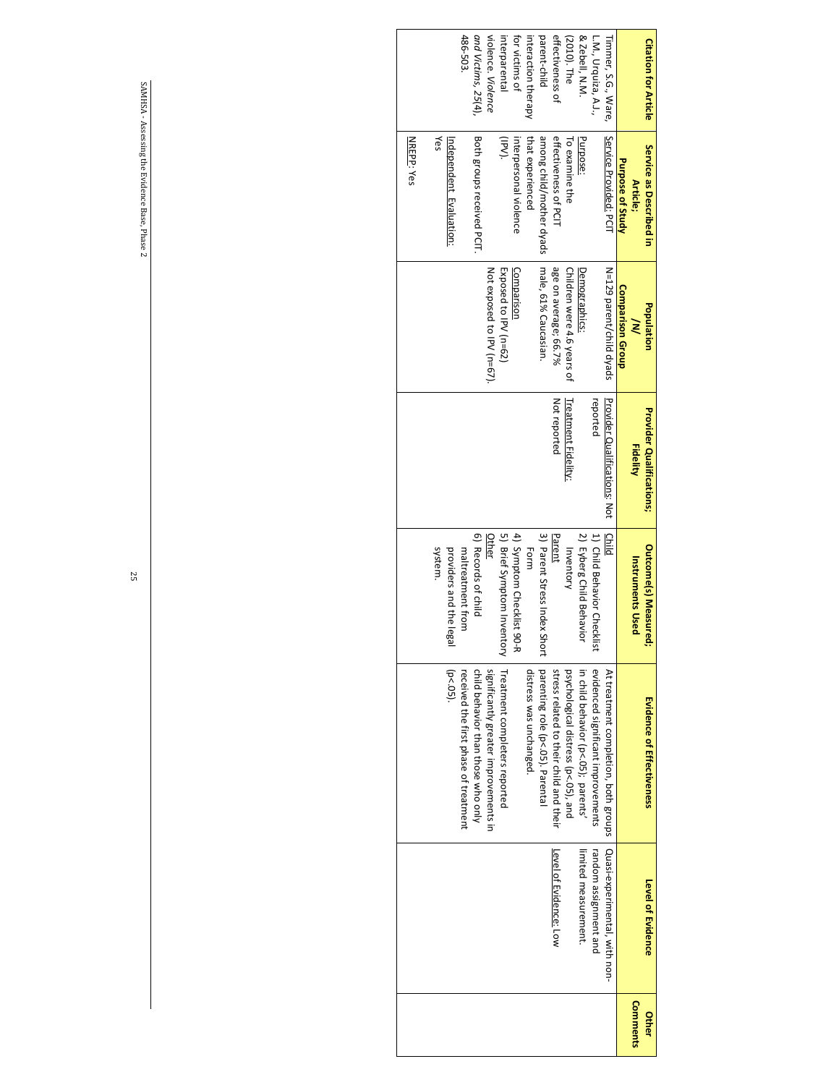| <b>Citation for Article</b> | Service as Described in   | Population                 | Provider Qualifications;     | <b>Outcome(s) Measured;</b>  | <b>Evidence of Effectiveness</b>        | <b>Level of Evidence</b>      | Other    |
|-----------------------------|---------------------------|----------------------------|------------------------------|------------------------------|-----------------------------------------|-------------------------------|----------|
|                             | Article;                  | ≷                          | <b>Fidelity</b>              | <b>Instruments Used</b>      |                                         |                               | Comments |
|                             | Purpose of Study          | <b>Comparison Group</b>    |                              |                              |                                         |                               |          |
| Timmer, S.G., Ware,         | Service Provided: PCIT    | N=129 parent/child dyads   | Provider Ocalitications: Not | Child                        | At treatment completion, both groups    | Quasi-experimental, with non- |          |
| L.M., Urquiza, A.J.,        |                           |                            | reported                     | 1) Child Behavior Checklist  | evidenced significant improvements      | random assignment and         |          |
| & Zebell, N.M.              | Purpose:                  | Demographics:              |                              | 2) Eyberg Child Behavio      | in child behavior (p<.05); parents'     | limited measurement.          |          |
| (2010). The                 | To examine the            | Children were 4.6 years of | <b>Treatment Fidelity:</b>   | Inventory                    | psychological distress (p<.05), and     |                               |          |
| effectiveness of            | effectiveness of PCIT     | age on average; 66.7%      | Not reported                 | Parent                       | stress related to their child and their | Level of Evidence: Low        |          |
| parent-child                | among child/mother dyads  | male, 61% Caucasian.       |                              | 3) Parent Stress Index Short | parenting role (p<.05). Parenta         |                               |          |
| interaction therapy         | that experienced          |                            |                              | Form                         | distress was unchanged.                 |                               |          |
| for victims of              | interpersonal violence    | Comparisor                 |                              | 4) Symptom Checklist 90-R    |                                         |                               |          |
| interparental               | (IPV).                    | Exposed to IPV (n=62)      |                              | 5) Brief Symptom Inventory   | Treatment completers reported           |                               |          |
| violence. Violence          |                           | Not exposed to IPV (n=67). |                              | <b>Other</b>                 | significantly greater improvements in   |                               |          |
| and Victims, 25(4),         | Both groups received PCIT |                            |                              | 6) Records of child          | child behavior than those who only      |                               |          |
| 486-503                     |                           |                            |                              | maltreatment from            | received the first phase of treatment   |                               |          |
|                             | Independent Evaluation:   |                            |                              | providers and the leg<br>≌ั  | $(p < .05)$ .                           |                               |          |
|                             | Yes                       |                            |                              | system.                      |                                         |                               |          |
|                             | <b>NREPP: Yes</b>         |                            |                              |                              |                                         |                               |          |
|                             |                           |                            |                              |                              |                                         |                               |          |
|                             |                           |                            |                              |                              |                                         |                               |          |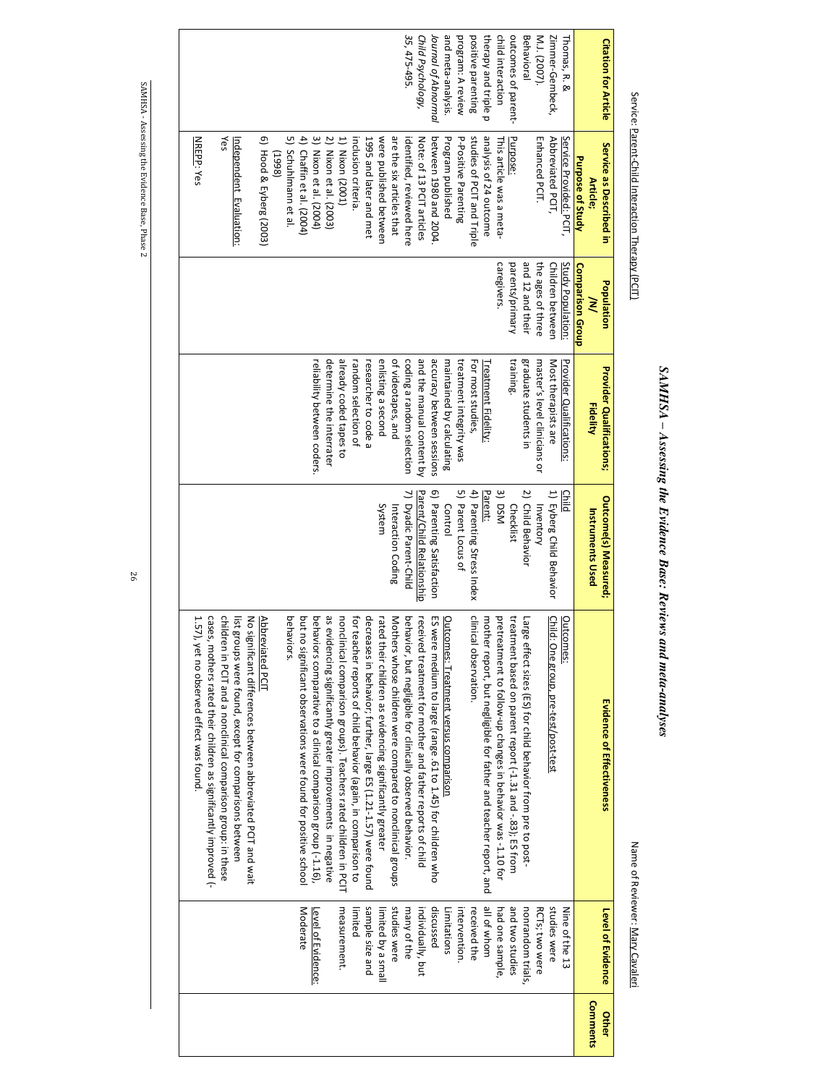# SAMHSA - Assessing the Evidence Base: Reviews and meta-analyses *SAMHSA – Assessing the Evidence Base: Reviews and meta-analyses*

Service: Parent-Child Interaction Therapy (PCIT)

Service: Parent-Child Interaction Therapy (PCIT)

#### Name of Reviewer: Mary Cavaleri Name of Reviewer: Mary Cavaleri

**Level of Evidence**

Level of Evidence

Nine of the 13

Nine of the 13<br>studies were

intervention received the all of whom had one sample, and two studies nonrandom trials, RCTs; two were studies were

had one sample,<br>all of whom<br>received the

nonrandom trials,<br>and two studies

RCTs; two were

intervention.<br>Limitations<br>discussed

stud limited

Moderate Level of Evidence: measurement. sample size and limited by a small

<u>Level of Evidence:</u><br>Moderate

measurement.

many of the individually, but discussed Limitations

ies were

**Other Comments**

**Comments** 

26